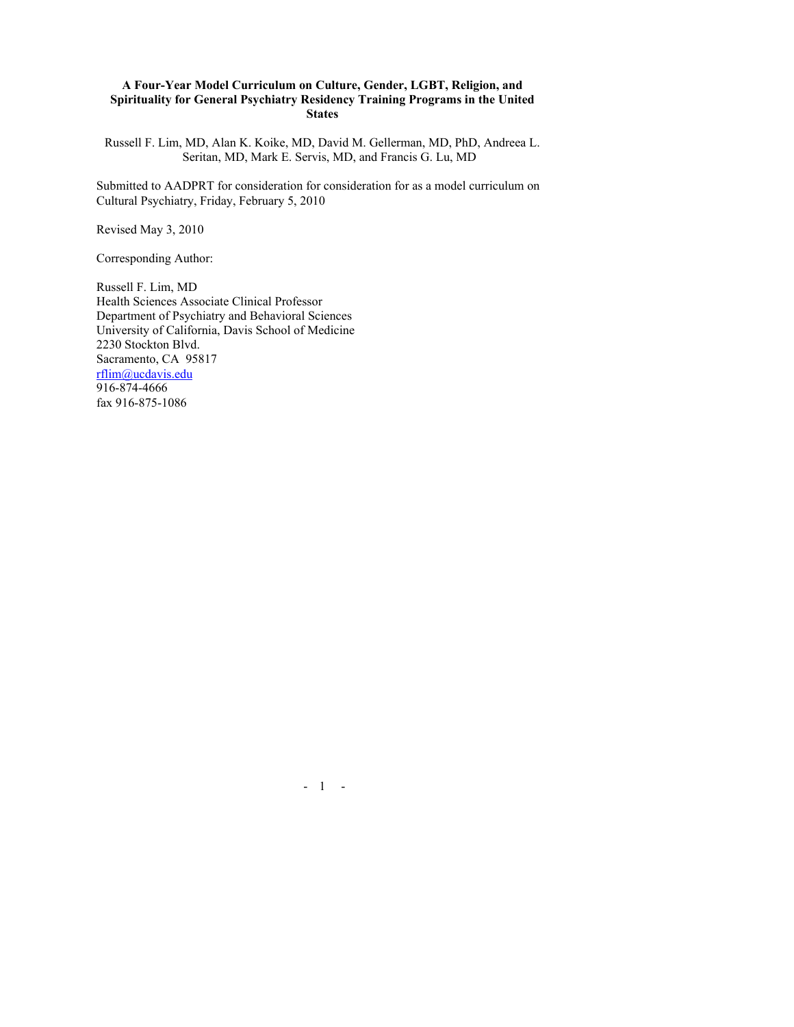### **A Four-Year Model Curriculum on Culture, Gender, LGBT, Religion, and Spirituality for General Psychiatry Residency Training Programs in the United States**

Russell F. Lim, MD, Alan K. Koike, MD, David M. Gellerman, MD, PhD, Andreea L. Seritan, MD, Mark E. Servis, MD, and Francis G. Lu, MD

Submitted to AADPRT for consideration for consideration for as a model curriculum on Cultural Psychiatry, Friday, February 5, 2010

Revised May 3, 2010

Corresponding Author:

Russell F. Lim, MD Health Sciences Associate Clinical Professor Department of Psychiatry and Behavioral Sciences University of California, Davis School of Medicine 2230 Stockton Blvd. Sacramento, CA 95817 rflim@ucdavis.edu 916-874-4666 fax 916-875-1086

 $-1 - -$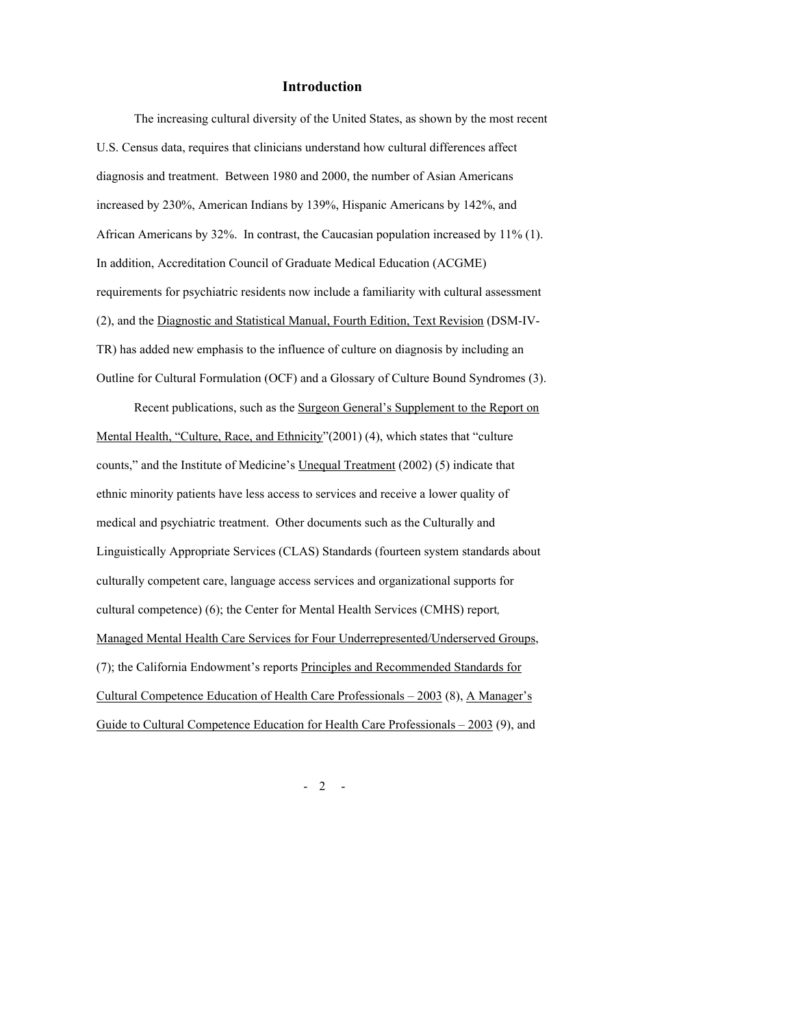#### **Introduction**

The increasing cultural diversity of the United States, as shown by the most recent U.S. Census data, requires that clinicians understand how cultural differences affect diagnosis and treatment. Between 1980 and 2000, the number of Asian Americans increased by 230%, American Indians by 139%, Hispanic Americans by 142%, and African Americans by 32%. In contrast, the Caucasian population increased by 11% (1). In addition, Accreditation Council of Graduate Medical Education (ACGME) requirements for psychiatric residents now include a familiarity with cultural assessment (2), and the Diagnostic and Statistical Manual, Fourth Edition, Text Revision (DSM-IV-TR) has added new emphasis to the influence of culture on diagnosis by including an Outline for Cultural Formulation (OCF) and a Glossary of Culture Bound Syndromes (3).

Recent publications, such as the Surgeon General's Supplement to the Report on Mental Health, "Culture, Race, and Ethnicity"(2001) (4), which states that "culture counts," and the Institute of Medicine's Unequal Treatment (2002) (5) indicate that ethnic minority patients have less access to services and receive a lower quality of medical and psychiatric treatment. Other documents such as the Culturally and Linguistically Appropriate Services (CLAS) Standards (fourteen system standards about culturally competent care, language access services and organizational supports for cultural competence) (6); the Center for Mental Health Services (CMHS) report*,*  Managed Mental Health Care Services for Four Underrepresented/Underserved Groups, (7); the California Endowment's reports Principles and Recommended Standards for Cultural Competence Education of Health Care Professionals – 2003 (8), A Manager's Guide to Cultural Competence Education for Health Care Professionals – 2003 (9), and

 $-2 -$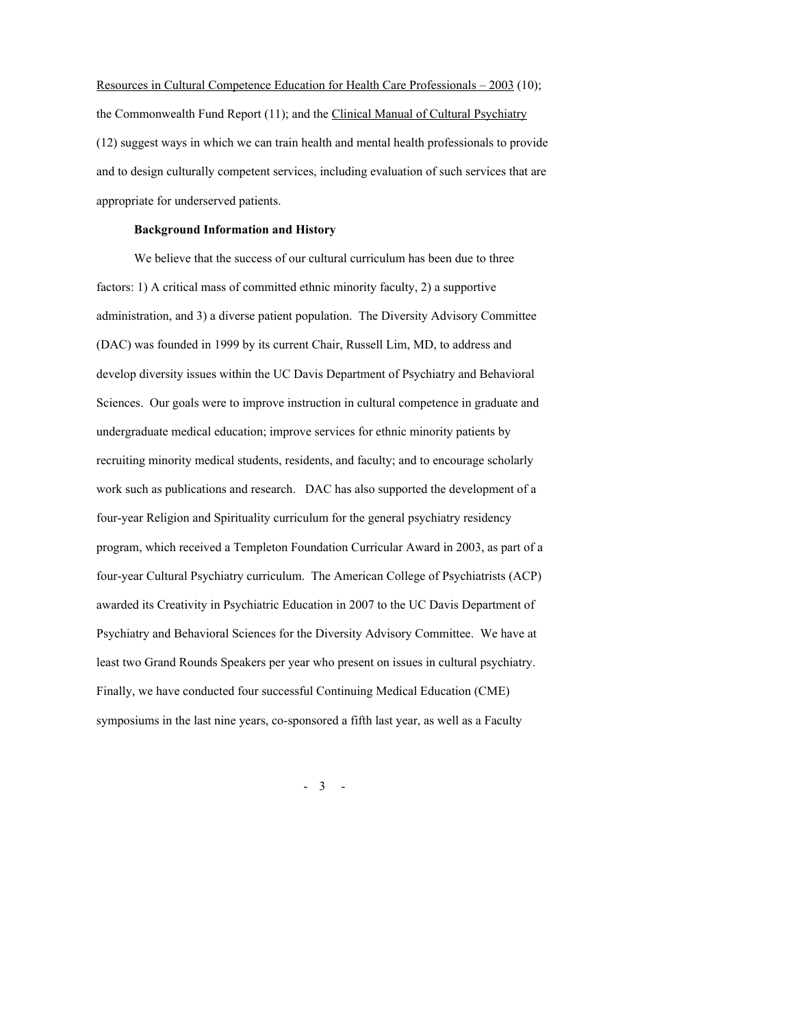Resources in Cultural Competence Education for Health Care Professionals – 2003 (10); the Commonwealth Fund Report (11); and the Clinical Manual of Cultural Psychiatry (12) suggest ways in which we can train health and mental health professionals to provide and to design culturally competent services, including evaluation of such services that are appropriate for underserved patients.

#### **Background Information and History**

We believe that the success of our cultural curriculum has been due to three factors: 1) A critical mass of committed ethnic minority faculty, 2) a supportive administration, and 3) a diverse patient population. The Diversity Advisory Committee (DAC) was founded in 1999 by its current Chair, Russell Lim, MD, to address and develop diversity issues within the UC Davis Department of Psychiatry and Behavioral Sciences. Our goals were to improve instruction in cultural competence in graduate and undergraduate medical education; improve services for ethnic minority patients by recruiting minority medical students, residents, and faculty; and to encourage scholarly work such as publications and research. DAC has also supported the development of a four-year Religion and Spirituality curriculum for the general psychiatry residency program, which received a Templeton Foundation Curricular Award in 2003, as part of a four-year Cultural Psychiatry curriculum. The American College of Psychiatrists (ACP) awarded its Creativity in Psychiatric Education in 2007 to the UC Davis Department of Psychiatry and Behavioral Sciences for the Diversity Advisory Committee. We have at least two Grand Rounds Speakers per year who present on issues in cultural psychiatry. Finally, we have conducted four successful Continuing Medical Education (CME) symposiums in the last nine years, co-sponsored a fifth last year, as well as a Faculty

- 3 -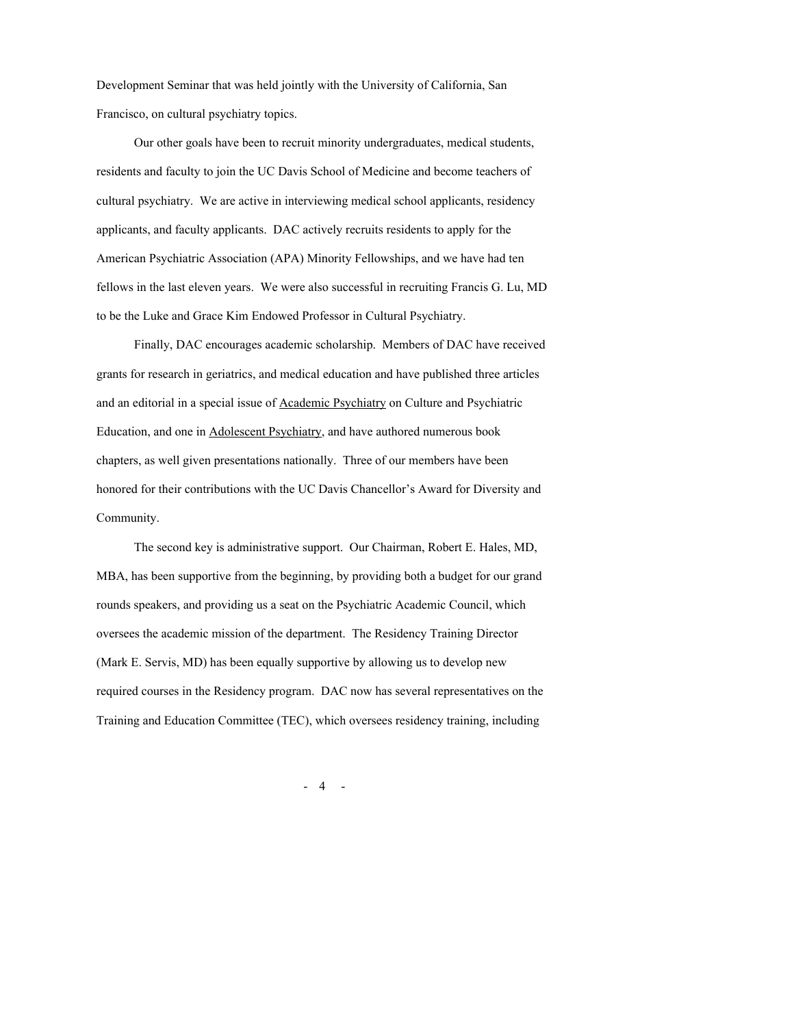Development Seminar that was held jointly with the University of California, San Francisco, on cultural psychiatry topics.

Our other goals have been to recruit minority undergraduates, medical students, residents and faculty to join the UC Davis School of Medicine and become teachers of cultural psychiatry. We are active in interviewing medical school applicants, residency applicants, and faculty applicants. DAC actively recruits residents to apply for the American Psychiatric Association (APA) Minority Fellowships, and we have had ten fellows in the last eleven years. We were also successful in recruiting Francis G. Lu, MD to be the Luke and Grace Kim Endowed Professor in Cultural Psychiatry.

Finally, DAC encourages academic scholarship. Members of DAC have received grants for research in geriatrics, and medical education and have published three articles and an editorial in a special issue of Academic Psychiatry on Culture and Psychiatric Education, and one in Adolescent Psychiatry, and have authored numerous book chapters, as well given presentations nationally. Three of our members have been honored for their contributions with the UC Davis Chancellor's Award for Diversity and Community.

The second key is administrative support. Our Chairman, Robert E. Hales, MD, MBA, has been supportive from the beginning, by providing both a budget for our grand rounds speakers, and providing us a seat on the Psychiatric Academic Council, which oversees the academic mission of the department. The Residency Training Director (Mark E. Servis, MD) has been equally supportive by allowing us to develop new required courses in the Residency program. DAC now has several representatives on the Training and Education Committee (TEC), which oversees residency training, including

 $-4 -$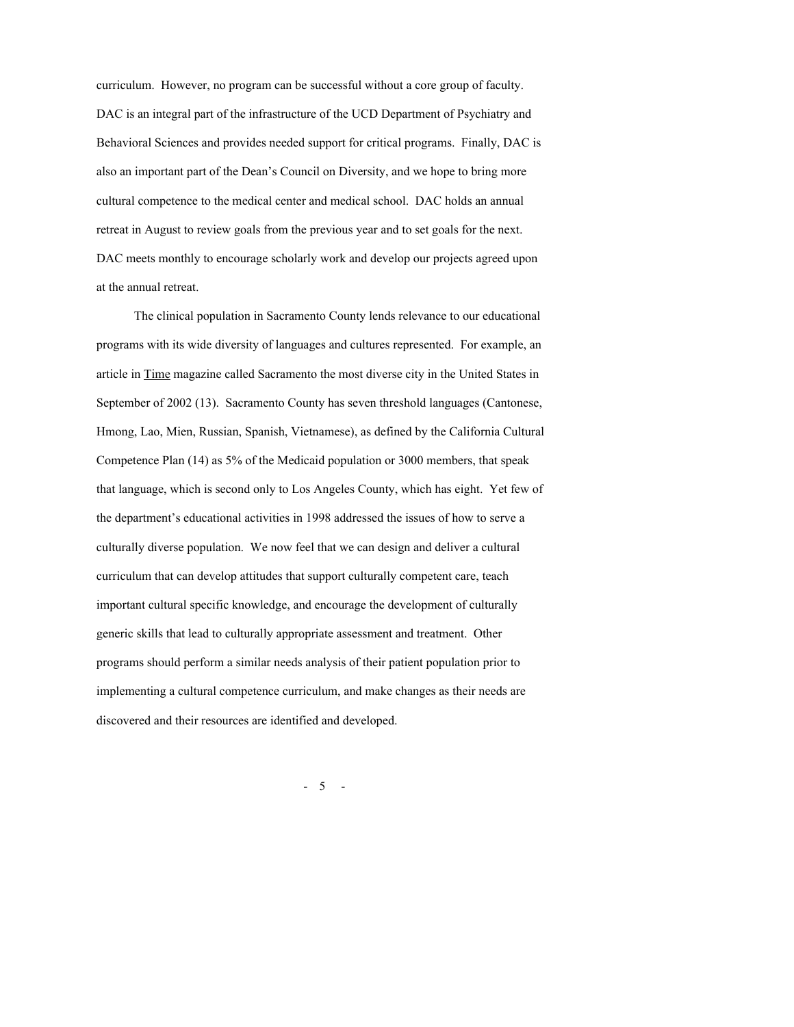curriculum. However, no program can be successful without a core group of faculty. DAC is an integral part of the infrastructure of the UCD Department of Psychiatry and Behavioral Sciences and provides needed support for critical programs. Finally, DAC is also an important part of the Dean's Council on Diversity, and we hope to bring more cultural competence to the medical center and medical school. DAC holds an annual retreat in August to review goals from the previous year and to set goals for the next. DAC meets monthly to encourage scholarly work and develop our projects agreed upon at the annual retreat.

The clinical population in Sacramento County lends relevance to our educational programs with its wide diversity of languages and cultures represented. For example, an article in Time magazine called Sacramento the most diverse city in the United States in September of 2002 (13). Sacramento County has seven threshold languages (Cantonese, Hmong, Lao, Mien, Russian, Spanish, Vietnamese), as defined by the California Cultural Competence Plan (14) as 5% of the Medicaid population or 3000 members, that speak that language, which is second only to Los Angeles County, which has eight. Yet few of the department's educational activities in 1998 addressed the issues of how to serve a culturally diverse population. We now feel that we can design and deliver a cultural curriculum that can develop attitudes that support culturally competent care, teach important cultural specific knowledge, and encourage the development of culturally generic skills that lead to culturally appropriate assessment and treatment. Other programs should perform a similar needs analysis of their patient population prior to implementing a cultural competence curriculum, and make changes as their needs are discovered and their resources are identified and developed.

- 5 -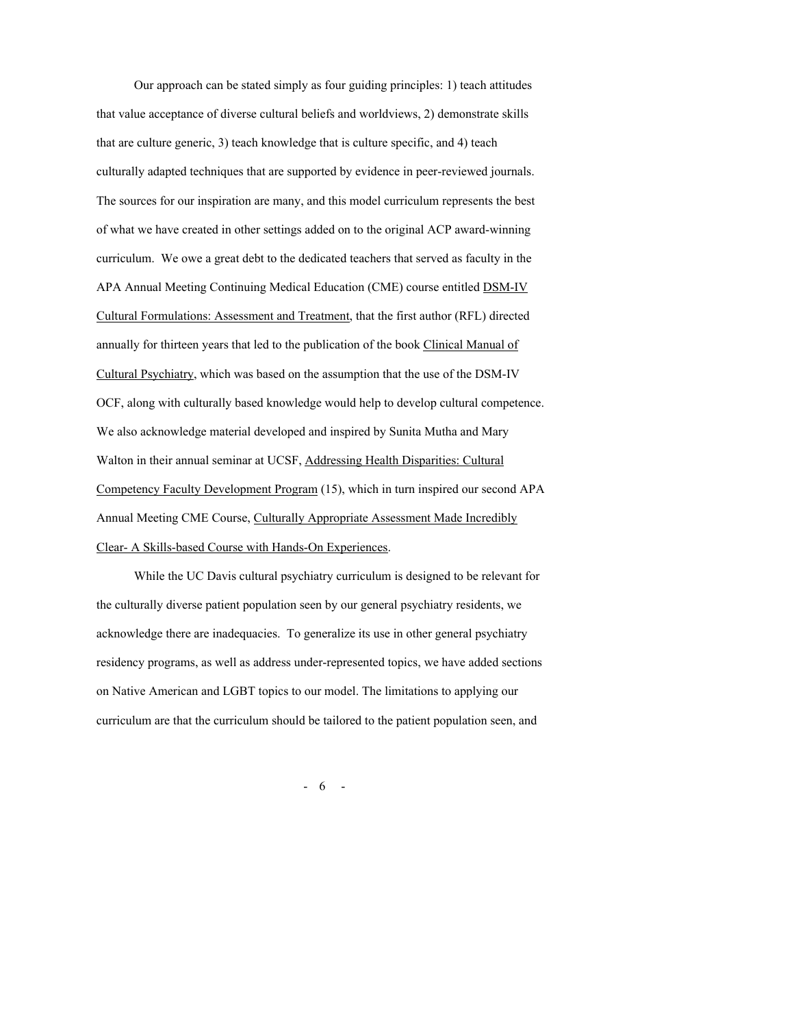Our approach can be stated simply as four guiding principles: 1) teach attitudes that value acceptance of diverse cultural beliefs and worldviews, 2) demonstrate skills that are culture generic, 3) teach knowledge that is culture specific, and 4) teach culturally adapted techniques that are supported by evidence in peer-reviewed journals. The sources for our inspiration are many, and this model curriculum represents the best of what we have created in other settings added on to the original ACP award-winning curriculum. We owe a great debt to the dedicated teachers that served as faculty in the APA Annual Meeting Continuing Medical Education (CME) course entitled DSM-IV Cultural Formulations: Assessment and Treatment, that the first author (RFL) directed annually for thirteen years that led to the publication of the book Clinical Manual of Cultural Psychiatry, which was based on the assumption that the use of the DSM-IV OCF, along with culturally based knowledge would help to develop cultural competence. We also acknowledge material developed and inspired by Sunita Mutha and Mary Walton in their annual seminar at UCSF, Addressing Health Disparities: Cultural Competency Faculty Development Program (15), which in turn inspired our second APA Annual Meeting CME Course, Culturally Appropriate Assessment Made Incredibly Clear- A Skills-based Course with Hands-On Experiences.

While the UC Davis cultural psychiatry curriculum is designed to be relevant for the culturally diverse patient population seen by our general psychiatry residents, we acknowledge there are inadequacies. To generalize its use in other general psychiatry residency programs, as well as address under-represented topics, we have added sections on Native American and LGBT topics to our model. The limitations to applying our curriculum are that the curriculum should be tailored to the patient population seen, and

- 6 -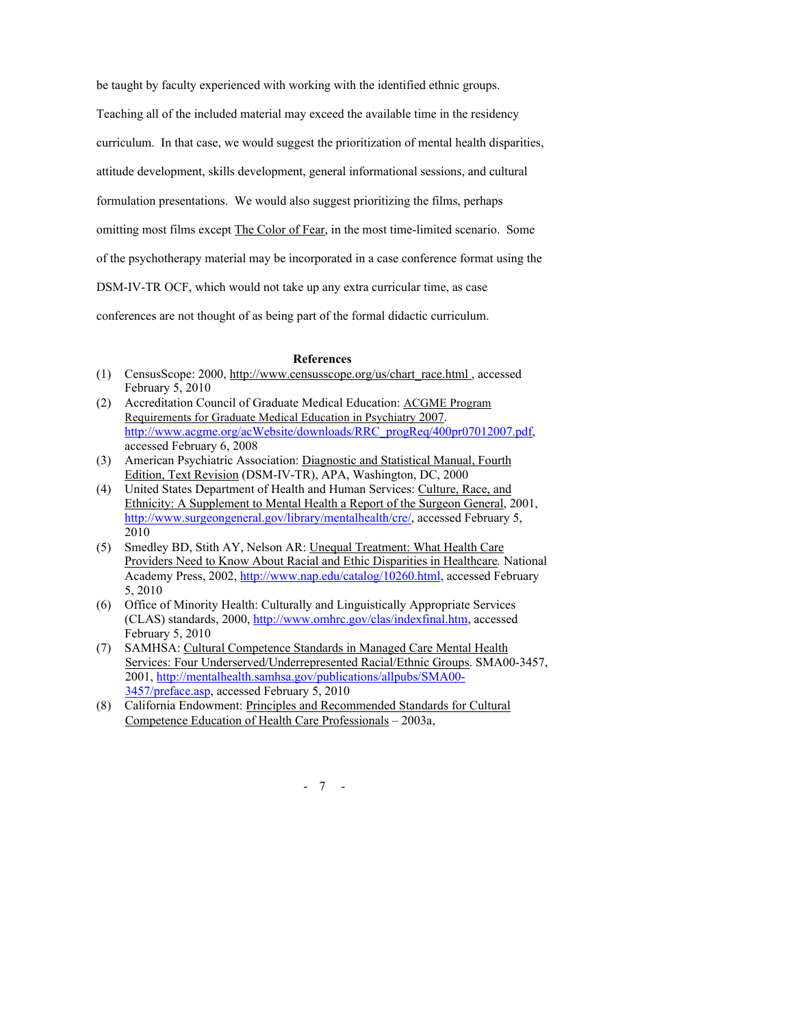be taught by faculty experienced with working with the identified ethnic groups.

Teaching all of the included material may exceed the available time in the residency

curriculum. In that case, we would suggest the prioritization of mental health disparities,

attitude development, skills development, general informational sessions, and cultural

formulation presentations. We would also suggest prioritizing the films, perhaps

omitting most films except The Color of Fear, in the most time-limited scenario. Some

of the psychotherapy material may be incorporated in a case conference format using the

DSM-IV-TR OCF, which would not take up any extra curricular time, as case

conferences are not thought of as being part of the formal didactic curriculum.

#### **References**

- (1) CensusScope: 2000, http://www.censusscope.org/us/chart\_race.html , accessed February 5, 2010
- (2) Accreditation Council of Graduate Medical Education: ACGME Program Requirements for Graduate Medical Education in Psychiatry 2007. http://www.acgme.org/acWebsite/downloads/RRC\_progReq/400pr07012007.pdf. accessed February 6, 2008
- (3) American Psychiatric Association: Diagnostic and Statistical Manual, Fourth Edition, Text Revision (DSM-IV-TR), APA, Washington, DC, 2000
- (4) United States Department of Health and Human Services: Culture, Race, and Ethnicity: A Supplement to Mental Health a Report of the Surgeon General, 2001, http://www.surgeongeneral.gov/library/mentalhealth/cre/, accessed February 5, 2010
- (5) Smedley BD, Stith AY, Nelson AR: Unequal Treatment: What Health Care Providers Need to Know About Racial and Ethic Disparities in Healthcare*.* National Academy Press, 2002, http://www.nap.edu/catalog/10260.html, accessed February 5, 2010
- (6) Office of Minority Health: Culturally and Linguistically Appropriate Services (CLAS) standards, 2000, http://www.omhrc.gov/clas/indexfinal.htm, accessed February 5, 2010
- (7) SAMHSA: Cultural Competence Standards in Managed Care Mental Health Services: Four Underserved/Underrepresented Racial/Ethnic Groups. SMA00-3457, 2001, http://mentalhealth.samhsa.gov/publications/allpubs/SMA00- 3457/preface.asp, accessed February 5, 2010
- (8) California Endowment: Principles and Recommended Standards for Cultural Competence Education of Health Care Professionals – 2003a,

- 7 -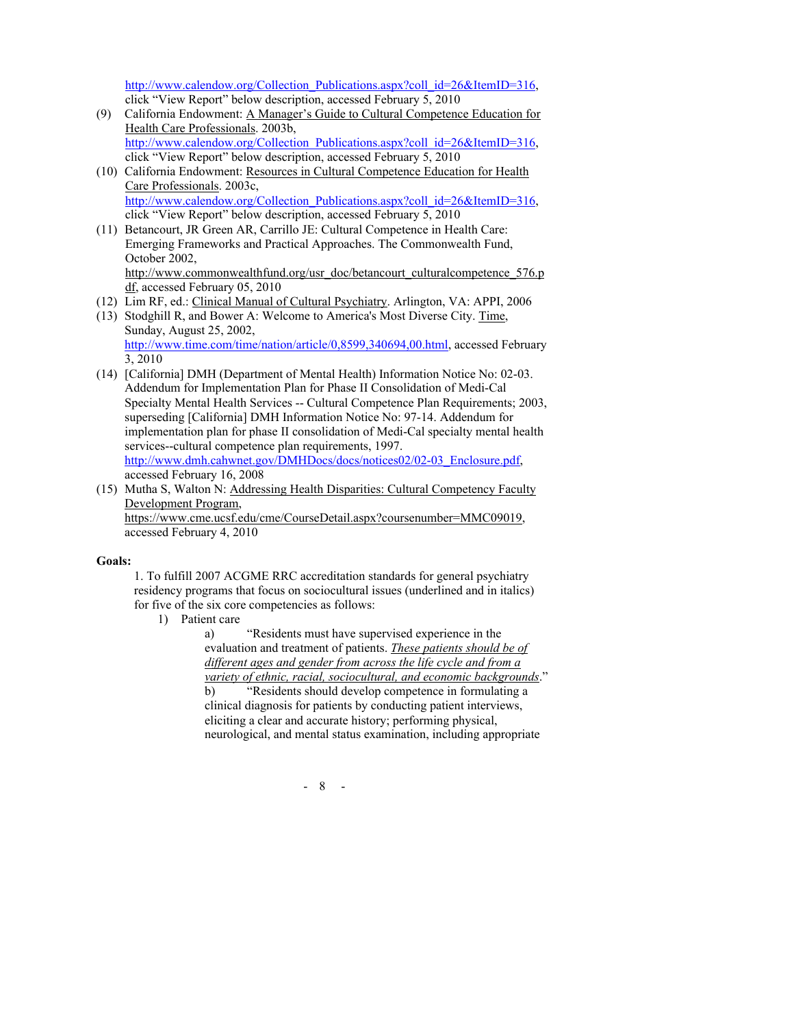http://www.calendow.org/Collection\_Publications.aspx?coll\_id=26&ItemID=316, click "View Report" below description, accessed February 5, 2010

- (9) California Endowment: A Manager's Guide to Cultural Competence Education for Health Care Professionals. 2003b, http://www.calendow.org/Collection\_Publications.aspx?coll\_id=26&ItemID=316, click "View Report" below description, accessed February 5, 2010
- (10) California Endowment: Resources in Cultural Competence Education for Health Care Professionals. 2003c, http://www.calendow.org/Collection\_Publications.aspx?coll\_id=26&ItemID=316, click "View Report" below description, accessed February 5, 2010
- (11) Betancourt, JR Green AR, Carrillo JE: Cultural Competence in Health Care: Emerging Frameworks and Practical Approaches. The Commonwealth Fund, October 2002, http://www.commonwealthfund.org/usr\_doc/betancourt\_culturalcompetence\_576.p df, accessed February 05, 2010
- (12) Lim RF, ed.: Clinical Manual of Cultural Psychiatry. Arlington, VA: APPI, 2006
- (13) Stodghill R, and Bower A: Welcome to America's Most Diverse City. Time, Sunday, August 25, 2002,

http://www.time.com/time/nation/article/0,8599,340694,00.html, accessed February 3, 2010

- (14) [California] DMH (Department of Mental Health) Information Notice No: 02-03. Addendum for Implementation Plan for Phase II Consolidation of Medi-Cal Specialty Mental Health Services -- Cultural Competence Plan Requirements; 2003, superseding [California] DMH Information Notice No: 97-14. Addendum for implementation plan for phase II consolidation of Medi-Cal specialty mental health services--cultural competence plan requirements, 1997. http://www.dmh.cahwnet.gov/DMHDocs/docs/notices02/02-03\_Enclosure.pdf, accessed February 16, 2008
- (15) Mutha S, Walton N: Addressing Health Disparities: Cultural Competency Faculty Development Program, https://www.cme.ucsf.edu/cme/CourseDetail.aspx?coursenumber=MMC09019, accessed February 4, 2010

### **Goals:**

1. To fulfill 2007 ACGME RRC accreditation standards for general psychiatry residency programs that focus on sociocultural issues (underlined and in italics) for five of the six core competencies as follows:

1) Patient care

a) "Residents must have supervised experience in the evaluation and treatment of patients. *These patients should be of different ages and gender from across the life cycle and from a variety of ethnic, racial, sociocultural, and economic backgrounds*." b) "Residents should develop competence in formulating a clinical diagnosis for patients by conducting patient interviews, eliciting a clear and accurate history; performing physical, neurological, and mental status examination, including appropriate

- 8 -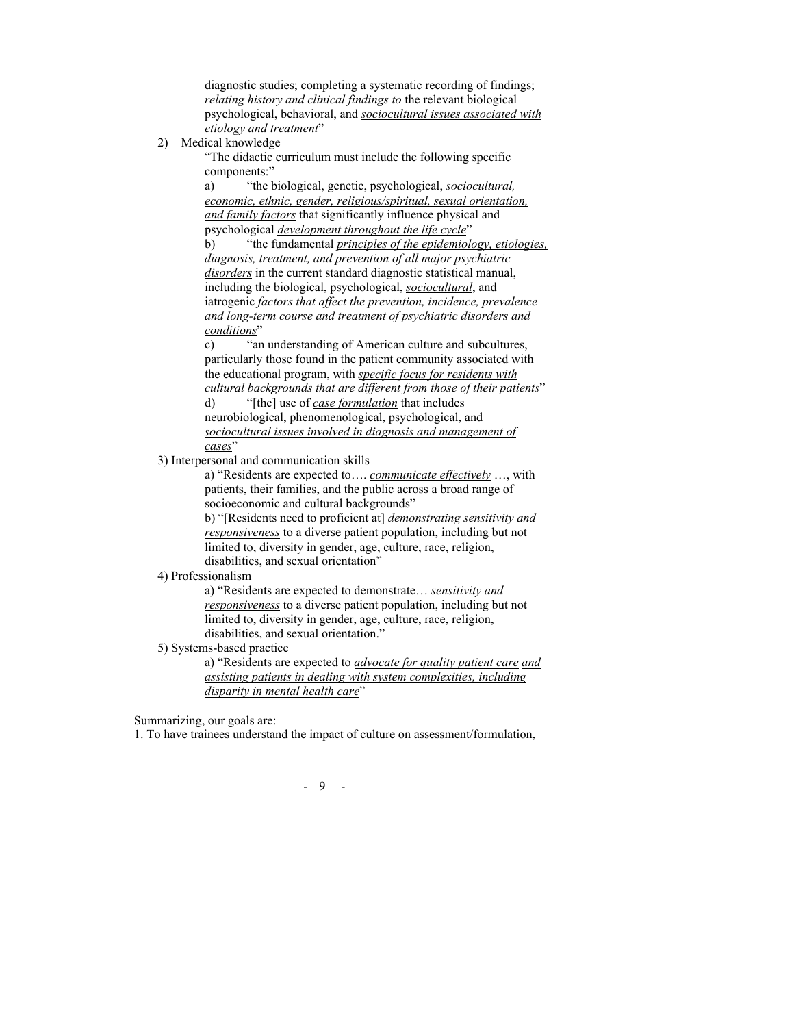diagnostic studies; completing a systematic recording of findings; *relating history and clinical findings to* the relevant biological psychological, behavioral, and *sociocultural issues associated with etiology and treatment*"

### 2) Medical knowledge

"The didactic curriculum must include the following specific components:"

a) "the biological, genetic, psychological, *sociocultural, economic, ethnic, gender, religious/spiritual, sexual orientation, and family factors* that significantly influence physical and psychological *development throughout the life cycle*"

b) "the fundamental *principles of the epidemiology, etiologies, diagnosis, treatment, and prevention of all major psychiatric disorders* in the current standard diagnostic statistical manual, including the biological, psychological, *sociocultural*, and iatrogenic *factors that affect the prevention, incidence, prevalence and long-term course and treatment of psychiatric disorders and conditions*"

c) "an understanding of American culture and subcultures, particularly those found in the patient community associated with the educational program, with *specific focus for residents with cultural backgrounds that are different from those of their patients*"

d) "[the] use of *case formulation* that includes neurobiological, phenomenological, psychological, and *sociocultural issues involved in diagnosis and management of cases*"

3) Interpersonal and communication skills

a) "Residents are expected to…. *communicate effectively* …, with patients, their families, and the public across a broad range of socioeconomic and cultural backgrounds"

b) "[Residents need to proficient at] *demonstrating sensitivity and responsiveness* to a diverse patient population, including but not limited to, diversity in gender, age, culture, race, religion, disabilities, and sexual orientation"

4) Professionalism

a) "Residents are expected to demonstrate… *sensitivity and responsiveness* to a diverse patient population, including but not limited to, diversity in gender, age, culture, race, religion, disabilities, and sexual orientation."

5) Systems-based practice

a) "Residents are expected to *advocate for quality patient care and assisting patients in dealing with system complexities, including disparity in mental health care*"

Summarizing, our goals are:

1. To have trainees understand the impact of culture on assessment/formulation,

- 9 -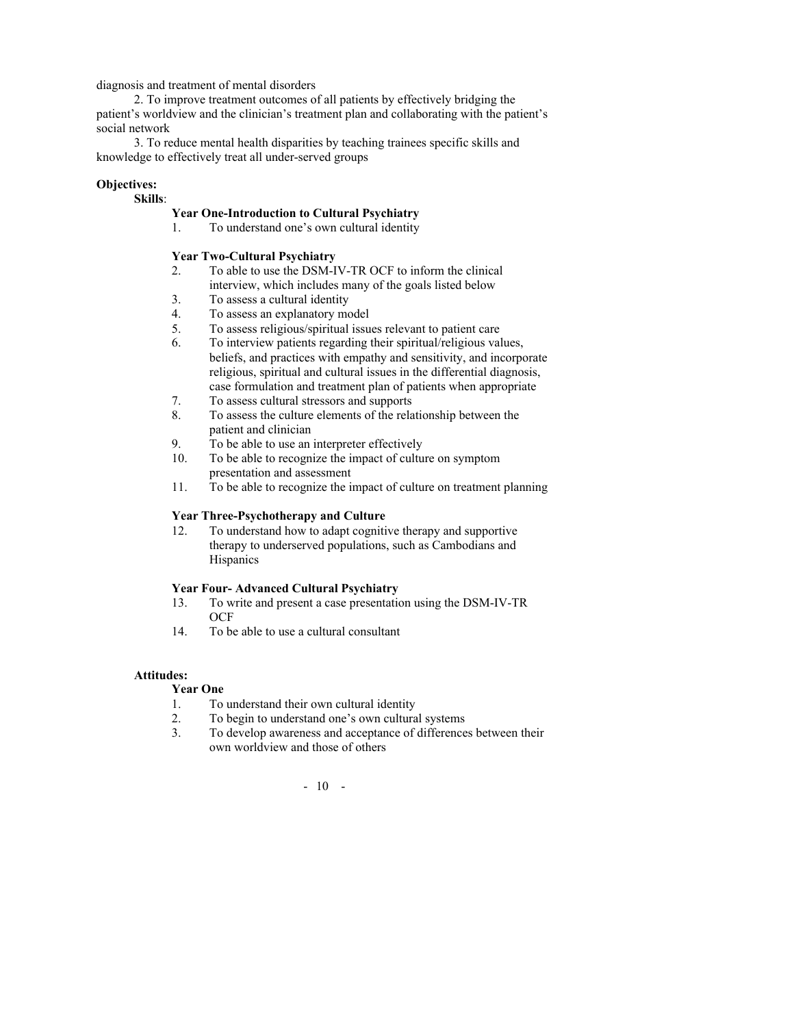diagnosis and treatment of mental disorders

2. To improve treatment outcomes of all patients by effectively bridging the patient's worldview and the clinician's treatment plan and collaborating with the patient's social network

3. To reduce mental health disparities by teaching trainees specific skills and knowledge to effectively treat all under-served groups

## **Objectives:**

## **Skills**:

## **Year One-Introduction to Cultural Psychiatry**

1. To understand one's own cultural identity

## **Year Two-Cultural Psychiatry**

- 2. To able to use the DSM-IV-TR OCF to inform the clinical interview, which includes many of the goals listed below
- 3. To assess a cultural identity
- 4. To assess an explanatory model
- 5. To assess religious/spiritual issues relevant to patient care
- 6. To interview patients regarding their spiritual/religious values, beliefs, and practices with empathy and sensitivity, and incorporate religious, spiritual and cultural issues in the differential diagnosis, case formulation and treatment plan of patients when appropriate
- 7. To assess cultural stressors and supports
- 8. To assess the culture elements of the relationship between the patient and clinician
- 9. To be able to use an interpreter effectively
- 10. To be able to recognize the impact of culture on symptom presentation and assessment
- 11. To be able to recognize the impact of culture on treatment planning

## **Year Three-Psychotherapy and Culture**

12. To understand how to adapt cognitive therapy and supportive therapy to underserved populations, such as Cambodians and **Hispanics** 

### **Year Four- Advanced Cultural Psychiatry**

- 13. To write and present a case presentation using the DSM-IV-TR **OCF**
- 14. To be able to use a cultural consultant

## **Attitudes:**

# **Year One**

- 1. To understand their own cultural identity
- 2. To begin to understand one's own cultural systems
- 3. To develop awareness and acceptance of differences between their own worldview and those of others

# - 10 -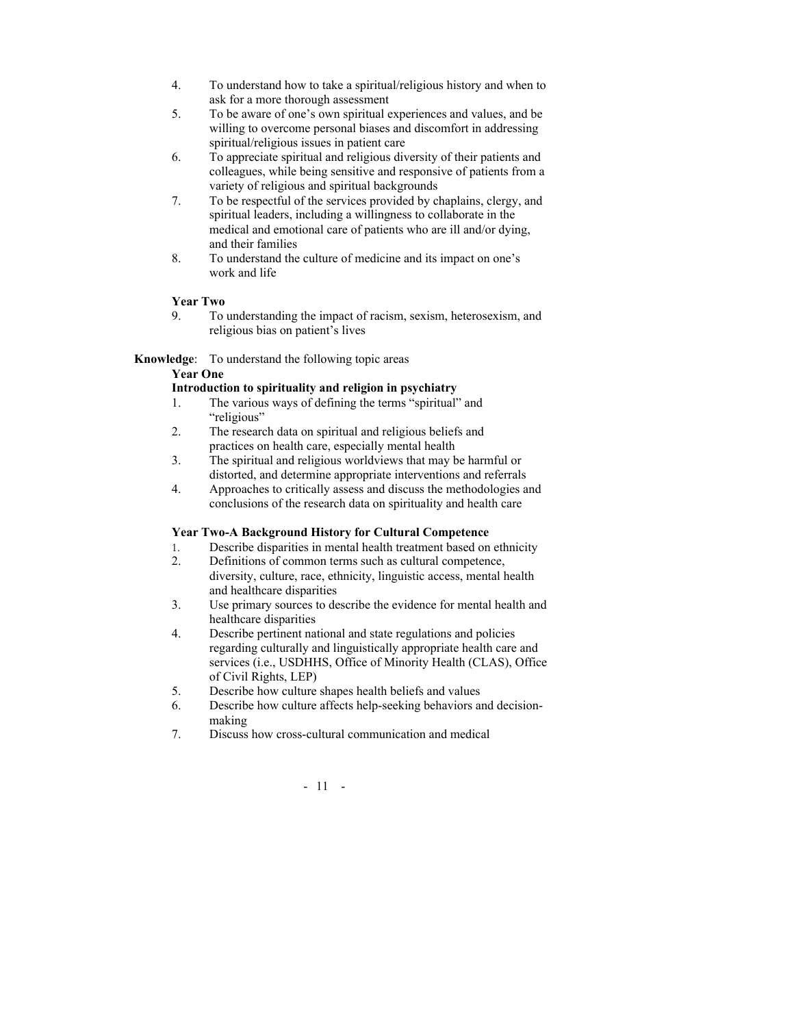- 4. To understand how to take a spiritual/religious history and when to ask for a more thorough assessment
- 5. To be aware of one's own spiritual experiences and values, and be willing to overcome personal biases and discomfort in addressing spiritual/religious issues in patient care
- 6. To appreciate spiritual and religious diversity of their patients and colleagues, while being sensitive and responsive of patients from a variety of religious and spiritual backgrounds
- 7. To be respectful of the services provided by chaplains, clergy, and spiritual leaders, including a willingness to collaborate in the medical and emotional care of patients who are ill and/or dying, and their families
- 8. To understand the culture of medicine and its impact on one's work and life

## **Year Two**

9. To understanding the impact of racism, sexism, heterosexism, and religious bias on patient's lives

## **Knowledge**: To understand the following topic areas

## **Year One**

## **Introduction to spirituality and religion in psychiatry**

- 1. The various ways of defining the terms "spiritual" and "religious"
- 2. The research data on spiritual and religious beliefs and practices on health care, especially mental health
- 3. The spiritual and religious worldviews that may be harmful or distorted, and determine appropriate interventions and referrals
- 4. Approaches to critically assess and discuss the methodologies and conclusions of the research data on spirituality and health care

### **Year Two-A Background History for Cultural Competence**

- 1. Describe disparities in mental health treatment based on ethnicity
- 2. Definitions of common terms such as cultural competence, diversity, culture, race, ethnicity, linguistic access, mental health and healthcare disparities
- 3. Use primary sources to describe the evidence for mental health and healthcare disparities
- 4. Describe pertinent national and state regulations and policies regarding culturally and linguistically appropriate health care and services (i.e., USDHHS, Office of Minority Health (CLAS), Office of Civil Rights, LEP)
- 5. Describe how culture shapes health beliefs and values
- 6. Describe how culture affects help-seeking behaviors and decisionmaking
- 7. Discuss how cross-cultural communication and medical

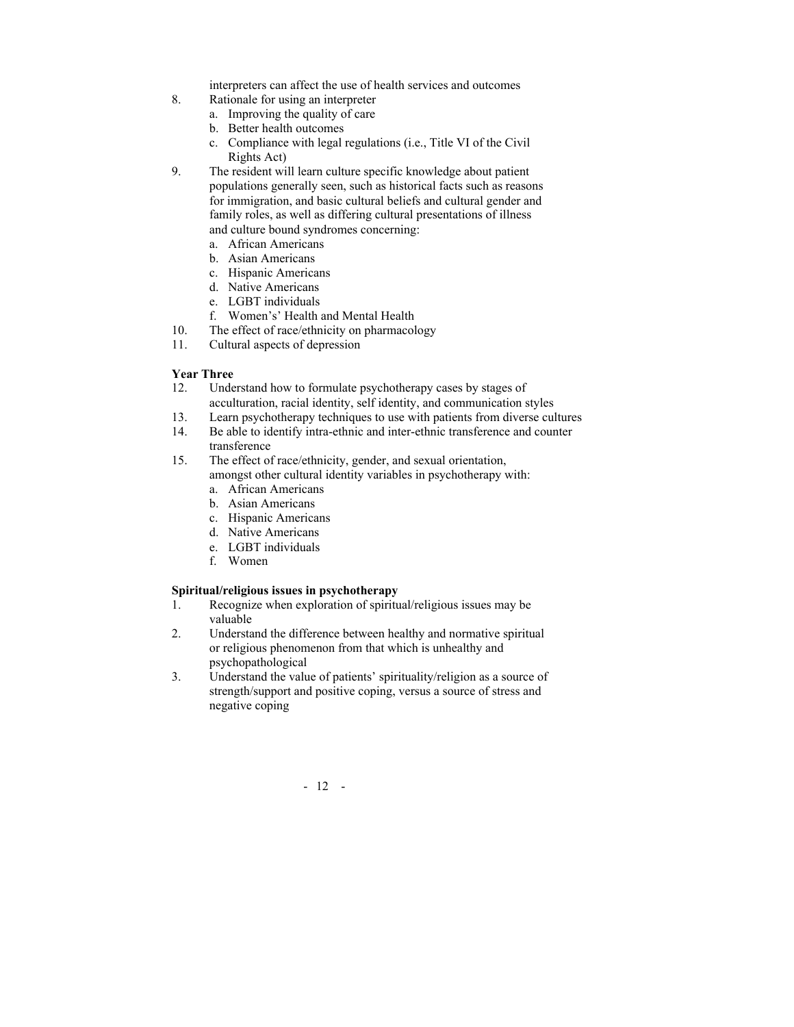interpreters can affect the use of health services and outcomes

- 8. Rationale for using an interpreter
	- a. Improving the quality of care
	- b. Better health outcomes
	- c. Compliance with legal regulations (i.e., Title VI of the Civil Rights Act)
- 9. The resident will learn culture specific knowledge about patient populations generally seen, such as historical facts such as reasons for immigration, and basic cultural beliefs and cultural gender and family roles, as well as differing cultural presentations of illness and culture bound syndromes concerning:
	- a. African Americans
	- b. Asian Americans
	- c. Hispanic Americans
	- d. Native Americans
	- e. LGBT individuals
	- f. Women's' Health and Mental Health
- 10. The effect of race/ethnicity on pharmacology
- 11. Cultural aspects of depression

### **Year Three**

- 12. Understand how to formulate psychotherapy cases by stages of acculturation, racial identity, self identity, and communication styles
- 13. Learn psychotherapy techniques to use with patients from diverse cultures
- 14. Be able to identify intra-ethnic and inter-ethnic transference and counter transference
- 15. The effect of race/ethnicity, gender, and sexual orientation, amongst other cultural identity variables in psychotherapy with:
	- a. African Americans
	- b. Asian Americans
	- c. Hispanic Americans
	- d. Native Americans
	- e. LGBT individuals
	- f. Women

### **Spiritual/religious issues in psychotherapy**

- 1. Recognize when exploration of spiritual/religious issues may be valuable
- 2. Understand the difference between healthy and normative spiritual or religious phenomenon from that which is unhealthy and psychopathological
- 3. Understand the value of patients' spirituality/religion as a source of strength/support and positive coping, versus a source of stress and negative coping

- 12 -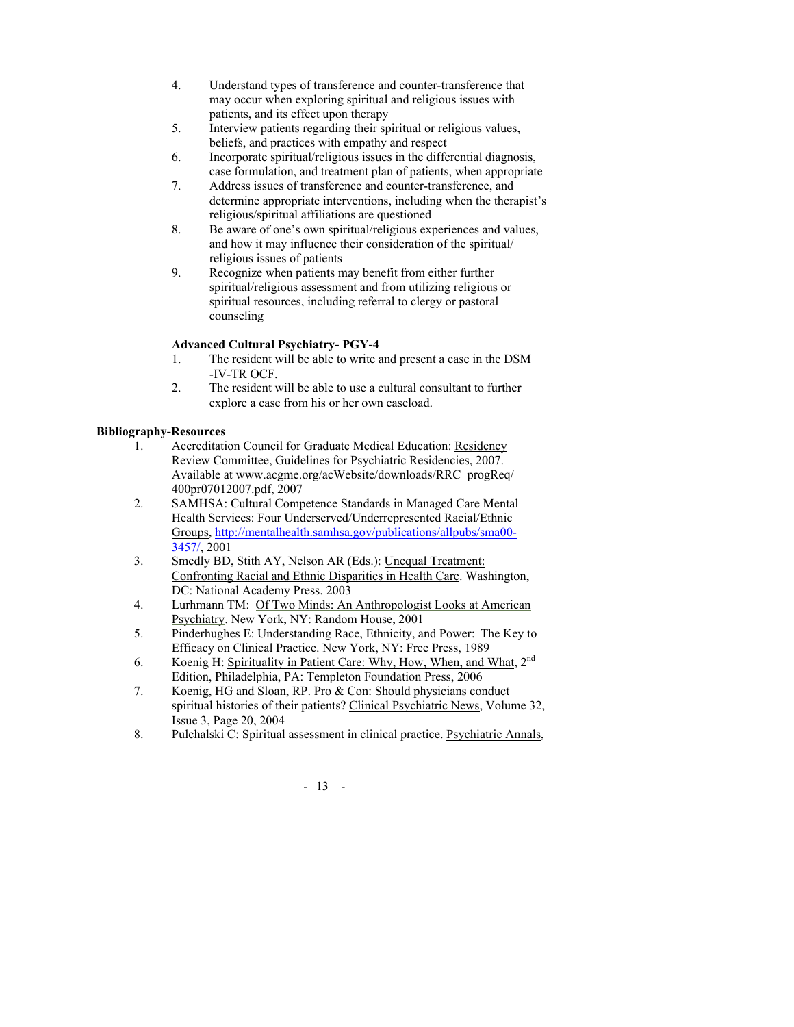- 4. Understand types of transference and counter-transference that may occur when exploring spiritual and religious issues with patients, and its effect upon therapy
- 5. Interview patients regarding their spiritual or religious values, beliefs, and practices with empathy and respect
- 6. Incorporate spiritual/religious issues in the differential diagnosis, case formulation, and treatment plan of patients, when appropriate
- 7. Address issues of transference and counter-transference, and determine appropriate interventions, including when the therapist's religious/spiritual affiliations are questioned
- 8. Be aware of one's own spiritual/religious experiences and values, and how it may influence their consideration of the spiritual/ religious issues of patients
- 9. Recognize when patients may benefit from either further spiritual/religious assessment and from utilizing religious or spiritual resources, including referral to clergy or pastoral counseling

## **Advanced Cultural Psychiatry- PGY-4**

- 1. The resident will be able to write and present a case in the DSM -IV-TR OCF.
- 2. The resident will be able to use a cultural consultant to further explore a case from his or her own caseload.

# **Bibliography-Resources**

- 1. Accreditation Council for Graduate Medical Education: Residency Review Committee, Guidelines for Psychiatric Residencies, 2007. Available at www.acgme.org/acWebsite/downloads/RRC\_progReq/ 400pr07012007.pdf, 2007
- 2. SAMHSA: Cultural Competence Standards in Managed Care Mental Health Services: Four Underserved/Underrepresented Racial/Ethnic Groups, http://mentalhealth.samhsa.gov/publications/allpubs/sma00- 3457/, 2001
- 3. Smedly BD, Stith AY, Nelson AR (Eds.): Unequal Treatment: Confronting Racial and Ethnic Disparities in Health Care. Washington, DC: National Academy Press. 2003
- 4. Lurhmann TM: Of Two Minds: An Anthropologist Looks at American Psychiatry. New York, NY: Random House, 2001
- 5. Pinderhughes E: Understanding Race, Ethnicity, and Power: The Key to Efficacy on Clinical Practice. New York, NY: Free Press, 1989
- 6. Koenig H: Spirituality in Patient Care: Why, How, When, and What, 2nd Edition, Philadelphia, PA: Templeton Foundation Press, 2006
- 7. Koenig, HG and Sloan, RP. Pro & Con: Should physicians conduct spiritual histories of their patients? Clinical Psychiatric News, Volume 32, Issue 3, Page 20, 2004
- 8. Pulchalski C: Spiritual assessment in clinical practice. Psychiatric Annals,

- 13 -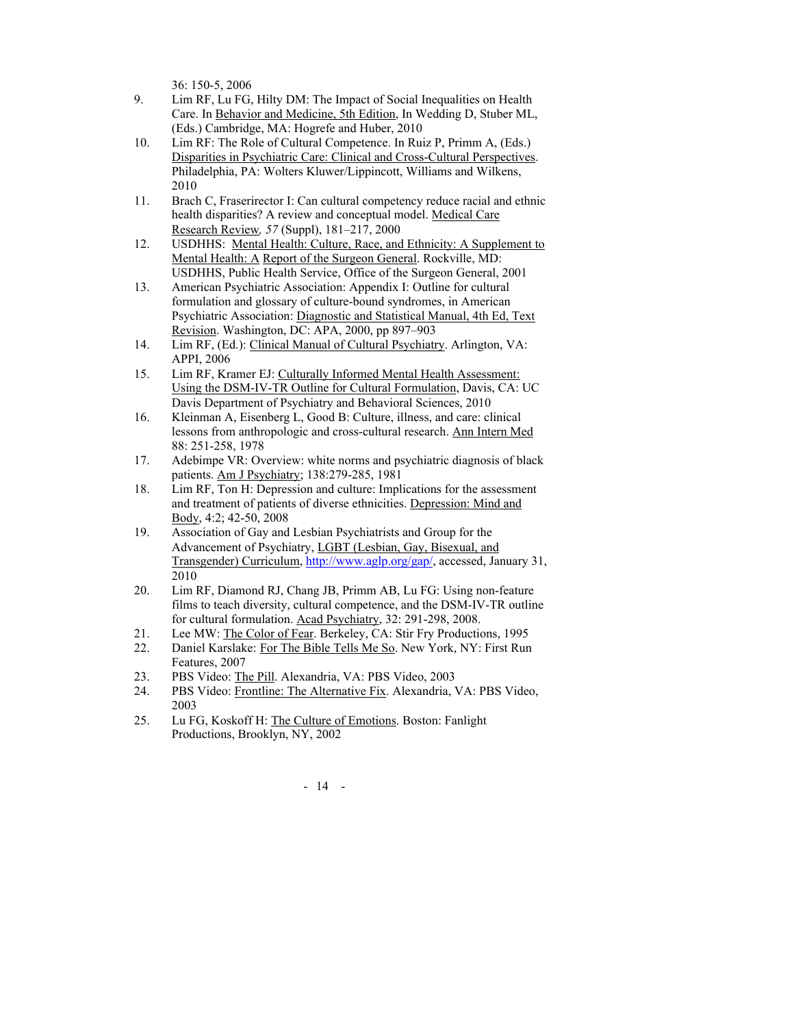36: 150-5, 2006

- 9. Lim RF, Lu FG, Hilty DM: The Impact of Social Inequalities on Health Care. In Behavior and Medicine, 5th Edition, In Wedding D, Stuber ML, (Eds.) Cambridge, MA: Hogrefe and Huber, 2010
- 10. Lim RF: The Role of Cultural Competence. In Ruiz P, Primm A, (Eds.) Disparities in Psychiatric Care: Clinical and Cross-Cultural Perspectives. Philadelphia, PA: Wolters Kluwer/Lippincott, Williams and Wilkens, 2010
- 11. Brach C, Fraserirector I: Can cultural competency reduce racial and ethnic health disparities? A review and conceptual model. Medical Care Research Review*, 57* (Suppl), 181–217, 2000
- 12. USDHHS: Mental Health: Culture, Race, and Ethnicity: A Supplement to Mental Health: A Report of the Surgeon General. Rockville, MD: USDHHS, Public Health Service, Office of the Surgeon General, 2001
- 13. American Psychiatric Association: Appendix I: Outline for cultural formulation and glossary of culture-bound syndromes, in American Psychiatric Association: Diagnostic and Statistical Manual, 4th Ed, Text Revision. Washington, DC: APA, 2000, pp 897–903
- 14. Lim RF, (Ed.): Clinical Manual of Cultural Psychiatry. Arlington, VA: APPI, 2006
- 15. Lim RF, Kramer EJ: Culturally Informed Mental Health Assessment: Using the DSM-IV-TR Outline for Cultural Formulation, Davis, CA: UC Davis Department of Psychiatry and Behavioral Sciences, 2010
- 16. Kleinman A, Eisenberg L, Good B: Culture, illness, and care: clinical lessons from anthropologic and cross-cultural research. Ann Intern Med 88: 251-258, 1978
- 17. Adebimpe VR: Overview: white norms and psychiatric diagnosis of black patients. Am J Psychiatry; 138:279-285, 1981
- 18. Lim RF, Ton H: Depression and culture: Implications for the assessment and treatment of patients of diverse ethnicities. Depression: Mind and Body, 4:2; 42-50, 2008
- 19. Association of Gay and Lesbian Psychiatrists and Group for the Advancement of Psychiatry, LGBT (Lesbian, Gay, Bisexual, and Transgender) Curriculum, http://www.aglp.org/gap/, accessed, January 31, 2010
- 20. Lim RF, Diamond RJ, Chang JB, Primm AB, Lu FG: Using non-feature films to teach diversity, cultural competence, and the DSM-IV-TR outline for cultural formulation. Acad Psychiatry, 32: 291-298, 2008.
- 21. Lee MW: The Color of Fear. Berkeley, CA: Stir Fry Productions, 1995
- 22. Daniel Karslake: For The Bible Tells Me So. New York, NY: First Run Features, 2007
- 23. PBS Video: The Pill. Alexandria, VA: PBS Video, 2003
- 24. PBS Video: Frontline: The Alternative Fix. Alexandria, VA: PBS Video, 2003
- 25. Lu FG, Koskoff H: The Culture of Emotions. Boston: Fanlight Productions, Brooklyn, NY, 2002

- 14 -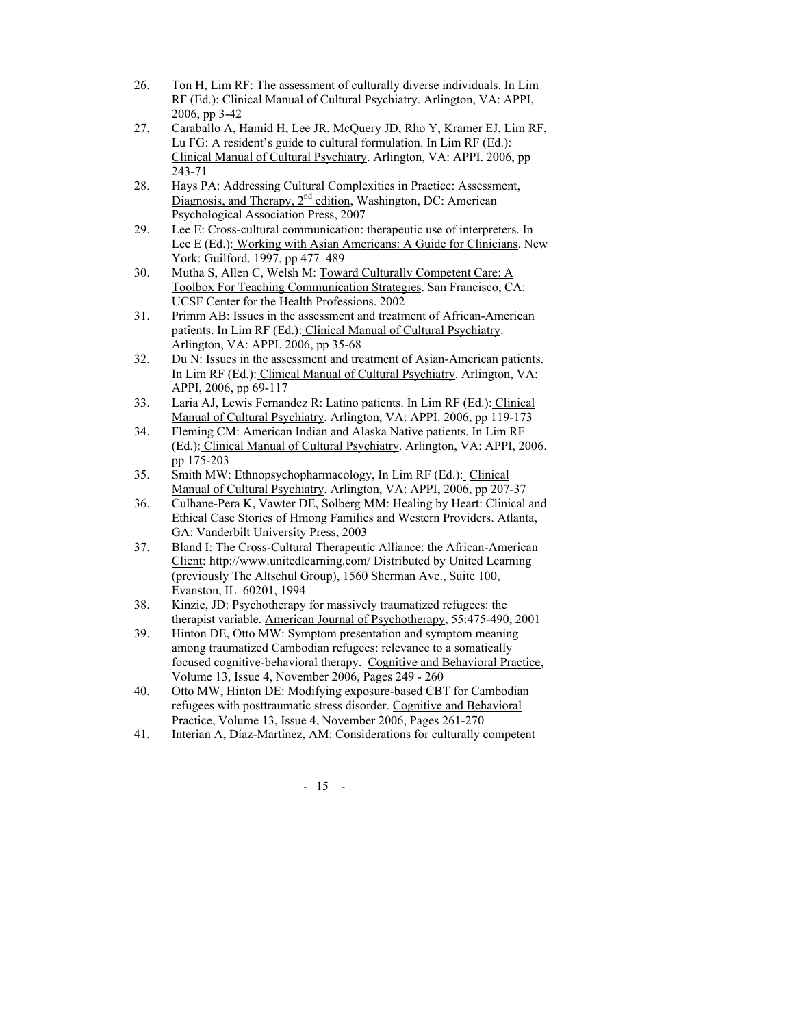- 26. Ton H, Lim RF: The assessment of culturally diverse individuals. In Lim RF (Ed.): Clinical Manual of Cultural Psychiatry. Arlington, VA: APPI, 2006, pp 3-42
- 27. Caraballo A, Hamid H, Lee JR, McQuery JD, Rho Y, Kramer EJ, Lim RF, Lu FG: A resident's guide to cultural formulation. In Lim RF (Ed.): Clinical Manual of Cultural Psychiatry. Arlington, VA: APPI. 2006, pp 243-71
- 28. Hays PA: Addressing Cultural Complexities in Practice: Assessment, Diagnosis, and Therapy, 2<sup>nd</sup> edition, Washington, DC: American Psychological Association Press, 2007
- 29. Lee E: Cross-cultural communication: therapeutic use of interpreters. In Lee E (Ed.): Working with Asian Americans: A Guide for Clinicians. New York: Guilford. 1997, pp 477–489
- 30. Mutha S, Allen C, Welsh M: Toward Culturally Competent Care: A Toolbox For Teaching Communication Strategies. San Francisco, CA: UCSF Center for the Health Professions. 2002
- 31. Primm AB: Issues in the assessment and treatment of African-American patients. In Lim RF (Ed.): Clinical Manual of Cultural Psychiatry. Arlington, VA: APPI. 2006, pp 35-68
- 32. Du N: Issues in the assessment and treatment of Asian-American patients. In Lim RF (Ed.): Clinical Manual of Cultural Psychiatry. Arlington, VA: APPI, 2006, pp 69-117
- 33. Laria AJ, Lewis Fernandez R: Latino patients. In Lim RF (Ed.): Clinical Manual of Cultural Psychiatry. Arlington, VA: APPI. 2006, pp 119-173
- 34. Fleming CM: American Indian and Alaska Native patients. In Lim RF (Ed.): Clinical Manual of Cultural Psychiatry. Arlington, VA: APPI, 2006. pp 175-203
- 35. Smith MW: Ethnopsychopharmacology, In Lim RF (Ed.): Clinical Manual of Cultural Psychiatry. Arlington, VA: APPI, 2006, pp 207-37
- 36. Culhane-Pera K, Vawter DE, Solberg MM: Healing by Heart: Clinical and Ethical Case Stories of Hmong Families and Western Providers. Atlanta, GA: Vanderbilt University Press, 2003
- 37. Bland I: The Cross-Cultural Therapeutic Alliance: the African-American Client: http://www.unitedlearning.com/ Distributed by United Learning (previously The Altschul Group), 1560 Sherman Ave., Suite 100, Evanston, IL 60201, 1994
- 38. Kinzie, JD: Psychotherapy for massively traumatized refugees: the therapist variable. American Journal of Psychotherapy, 55:475-490, 2001
- 39. Hinton DE, Otto MW: Symptom presentation and symptom meaning among traumatized Cambodian refugees: relevance to a somatically focused cognitive-behavioral therapy. Cognitive and Behavioral Practice, Volume 13, Issue 4, November 2006, Pages 249 - 260
- 40. Otto MW, Hinton DE: Modifying exposure-based CBT for Cambodian refugees with posttraumatic stress disorder. Cognitive and Behavioral Practice, Volume 13, Issue 4, November 2006, Pages 261-270
- 41. Interian A, Díaz-Martínez, AM: Considerations for culturally competent

- 15 -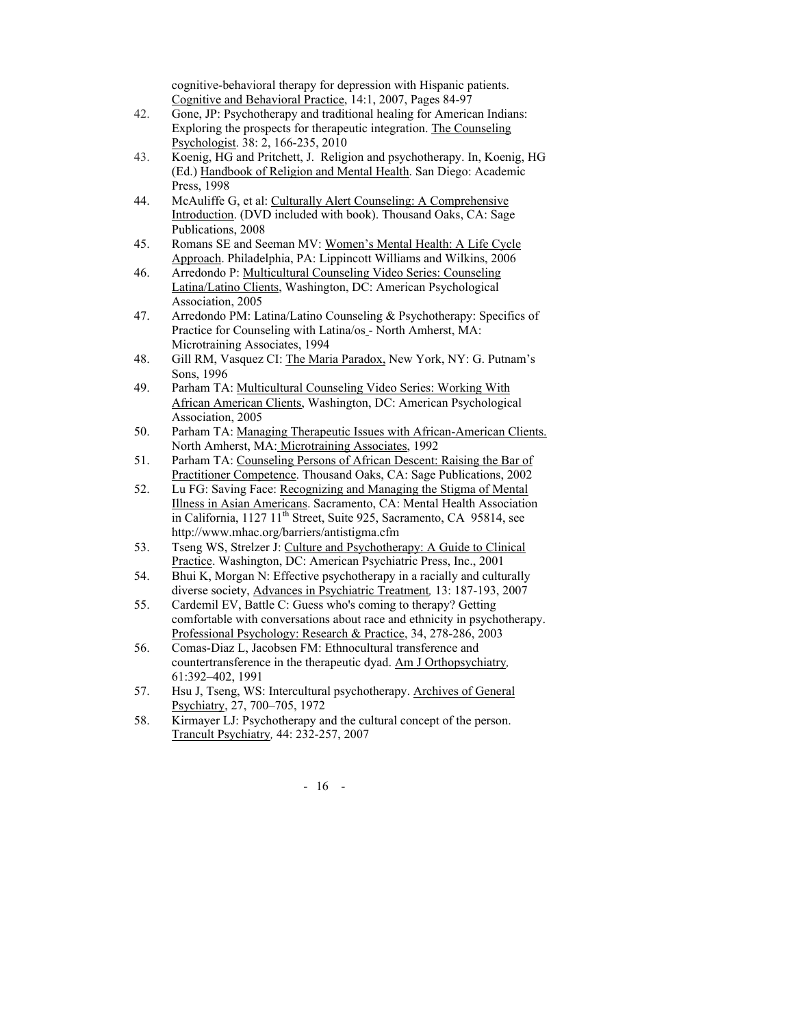cognitive-behavioral therapy for depression with Hispanic patients. Cognitive and Behavioral Practice, 14:1, 2007, Pages 84-97

- 42. Gone, JP: Psychotherapy and traditional healing for American Indians: Exploring the prospects for therapeutic integration. The Counseling Psychologist. 38: 2, 166-235, 2010
- 43. Koenig, HG and Pritchett, J. Religion and psychotherapy. In, Koenig, HG (Ed.) Handbook of Religion and Mental Health. San Diego: Academic Press, 1998
- 44. McAuliffe G, et al: Culturally Alert Counseling: A Comprehensive Introduction. (DVD included with book). Thousand Oaks, CA: Sage Publications, 2008
- 45. Romans SE and Seeman MV: Women's Mental Health: A Life Cycle Approach. Philadelphia, PA: Lippincott Williams and Wilkins, 2006
- 46. Arredondo P: Multicultural Counseling Video Series: Counseling Latina/Latino Clients, Washington, DC: American Psychological Association, 2005
- 47. Arredondo PM: Latina/Latino Counseling & Psychotherapy: Specifics of Practice for Counseling with Latina/os - North Amherst, MA: Microtraining Associates, 1994
- 48. Gill RM, Vasquez CI: The Maria Paradox, New York, NY: G. Putnam's Sons, 1996
- 49. Parham TA: Multicultural Counseling Video Series: Working With African American Clients, Washington, DC: American Psychological Association, 2005
- 50. Parham TA: Managing Therapeutic Issues with African-American Clients. North Amherst, MA: Microtraining Associates, 1992
- 51. Parham TA: Counseling Persons of African Descent: Raising the Bar of Practitioner Competence. Thousand Oaks, CA: Sage Publications, 2002
- 52. Lu FG: Saving Face: Recognizing and Managing the Stigma of Mental Illness in Asian Americans. Sacramento, CA: Mental Health Association in California,  $1127 \frac{11}{\text{th}}$  Street, Suite 925, Sacramento, CA 95814, see http://www.mhac.org/barriers/antistigma.cfm
- 53. Tseng WS, Strelzer J: Culture and Psychotherapy: A Guide to Clinical Practice. Washington, DC: American Psychiatric Press, Inc., 2001
- 54. Bhui K, Morgan N: Effective psychotherapy in a racially and culturally diverse society, Advances in Psychiatric Treatment*,* 13: 187-193, 2007
- 55. Cardemil EV, Battle C: Guess who's coming to therapy? Getting comfortable with conversations about race and ethnicity in psychotherapy. Professional Psychology: Research & Practice, 34, 278-286, 2003
- 56. Comas-Diaz L, Jacobsen FM: Ethnocultural transference and countertransference in the therapeutic dyad. Am J Orthopsychiatry*,* 61:392–402, 1991
- 57. Hsu J, Tseng, WS: Intercultural psychotherapy. Archives of General Psychiatry, 27, 700–705, 1972
- 58. Kirmayer LJ: Psychotherapy and the cultural concept of the person. Trancult Psychiatry*,* 44: 232-257, 2007

- 16 -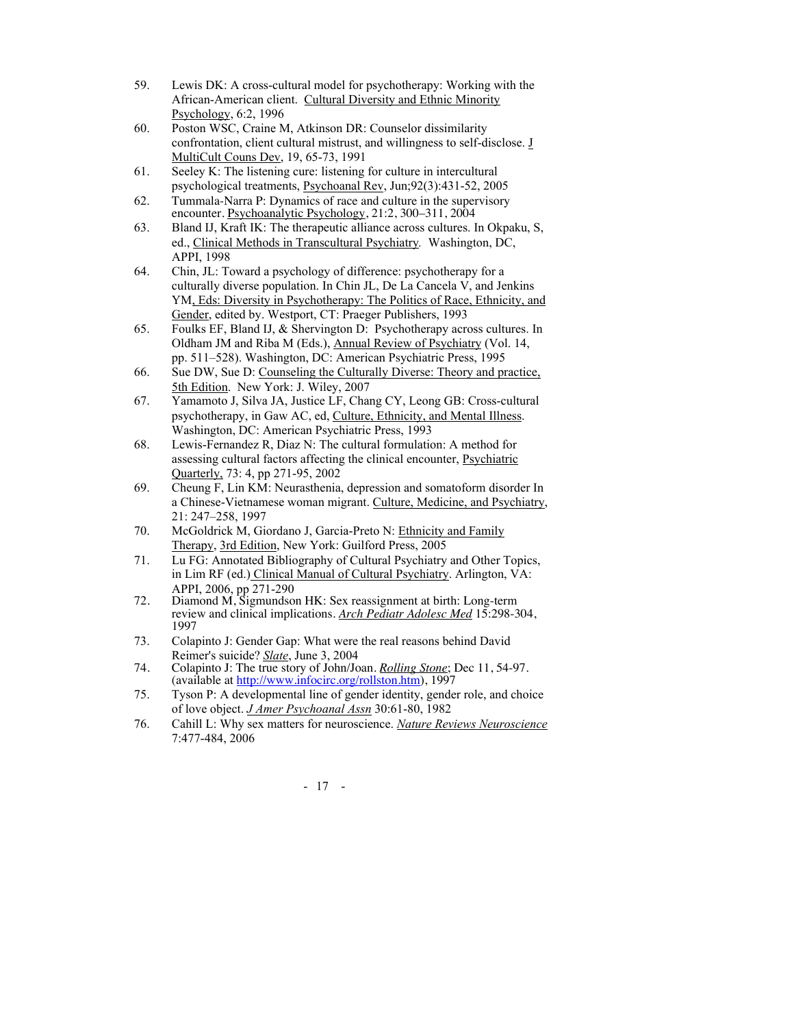- 59. Lewis DK: A cross-cultural model for psychotherapy: Working with the African-American client. Cultural Diversity and Ethnic Minority Psychology, 6:2, 1996
- 60. Poston WSC, Craine M, Atkinson DR: Counselor dissimilarity confrontation, client cultural mistrust, and willingness to self-disclose. J MultiCult Couns Dev, 19, 65-73, 1991
- 61. Seeley K: The listening cure: listening for culture in intercultural psychological treatments, Psychoanal Rev, Jun;92(3):431-52, 2005
- 62. Tummala-Narra P: Dynamics of race and culture in the supervisory encounter. Psychoanalytic Psychology, 21:2, 300-311, 2004
- 63. Bland IJ, Kraft IK: The therapeutic alliance across cultures. In Okpaku, S, ed., Clinical Methods in Transcultural Psychiatry*.* Washington, DC, APPI, 1998
- 64. Chin, JL: Toward a psychology of difference: psychotherapy for a culturally diverse population. In Chin JL, De La Cancela V, and Jenkins YM, Eds: Diversity in Psychotherapy: The Politics of Race, Ethnicity, and Gender, edited by. Westport, CT: Praeger Publishers, 1993
- 65. Foulks EF, Bland IJ, & Shervington D: Psychotherapy across cultures. In Oldham JM and Riba M (Eds.), Annual Review of Psychiatry (Vol. 14, pp. 511–528). Washington, DC: American Psychiatric Press, 1995
- 66. Sue DW, Sue D: Counseling the Culturally Diverse: Theory and practice, 5th Edition. New York: J. Wiley, 2007
- 67. Yamamoto J, Silva JA, Justice LF, Chang CY, Leong GB: Cross-cultural psychotherapy, in Gaw AC, ed, Culture, Ethnicity, and Mental Illness. Washington, DC: American Psychiatric Press, 1993
- 68. Lewis-Fernandez R, Diaz N: The cultural formulation: A method for assessing cultural factors affecting the clinical encounter, Psychiatric Quarterly, 73: 4, pp 271-95, 2002
- 69. Cheung F, Lin KM: Neurasthenia, depression and somatoform disorder In a Chinese-Vietnamese woman migrant. Culture, Medicine, and Psychiatry, 21: 247–258, 1997
- 70. McGoldrick M, Giordano J, Garcia-Preto N: Ethnicity and Family Therapy, 3rd Edition, New York: Guilford Press, 2005
- 71. Lu FG: Annotated Bibliography of Cultural Psychiatry and Other Topics, in Lim RF (ed.) Clinical Manual of Cultural Psychiatry. Arlington, VA: APPI, 2006, pp 271-290
- 72. Diamond M, Sigmundson HK: Sex reassignment at birth: Long-term review and clinical implications. *Arch Pediatr Adolesc Med* 15:298-304, 1997
- 73. Colapinto J: Gender Gap: What were the real reasons behind David Reimer's suicide? *Slate*, June 3, 2004
- 74. Colapinto J: The true story of John/Joan. *Rolling Stone*; Dec 11, 54-97. (available at http://www.infocirc.org/rollston.htm), 1997
- 75. Tyson P: A developmental line of gender identity, gender role, and choice of love object. *J Amer Psychoanal Assn* 30:61-80, 1982
- 76. Cahill L: Why sex matters for neuroscience. *Nature Reviews Neuroscience* 7:477-484, 2006

- 17 -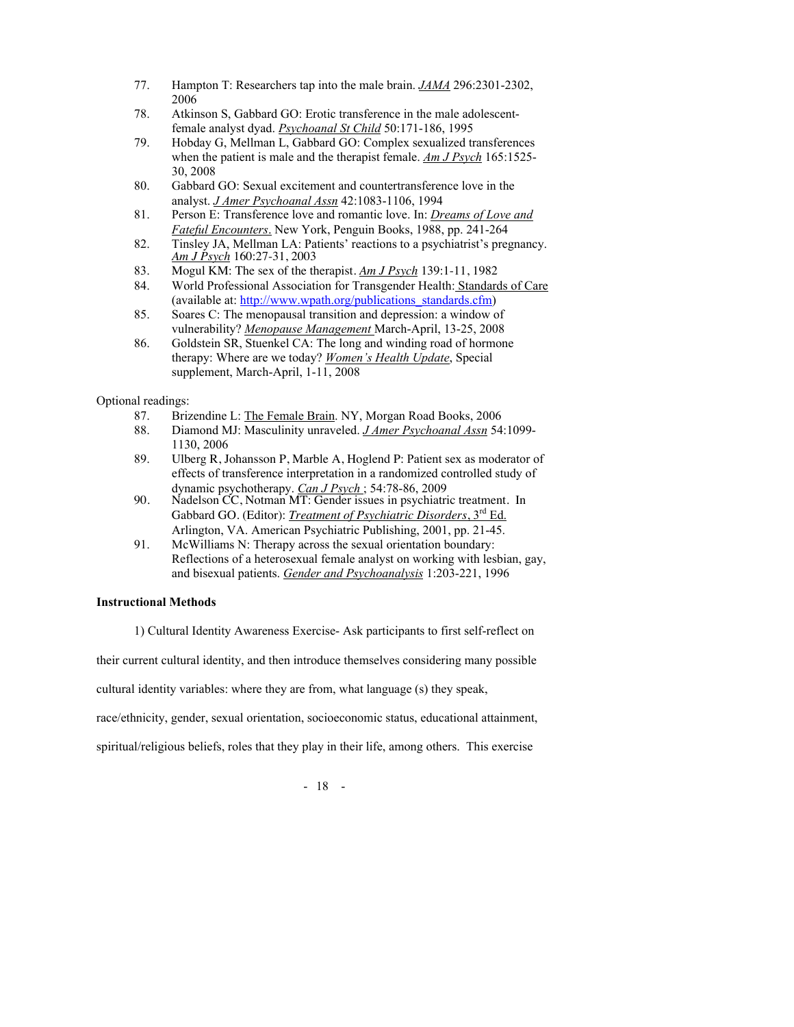- 77. Hampton T: Researchers tap into the male brain. *JAMA* 296:2301-2302, 2006
- 78. Atkinson S, Gabbard GO: Erotic transference in the male adolescentfemale analyst dyad. *Psychoanal St Child* 50:171-186, 1995
- 79. Hobday G, Mellman L, Gabbard GO: Complex sexualized transferences when the patient is male and the therapist female. *Am J Psych* 165:1525- 30, 2008
- 80. Gabbard GO: Sexual excitement and countertransference love in the analyst. *J Amer Psychoanal Assn* 42:1083-1106, 1994
- 81. Person E: Transference love and romantic love. In: *Dreams of Love and Fateful Encounters*. New York, Penguin Books, 1988, pp. 241-264
- 82. Tinsley JA, Mellman LA: Patients' reactions to a psychiatrist's pregnancy. *Am J Psych* 160:27-31, 2003
- 83. Mogul KM: The sex of the therapist. *Am J Psych* 139:1-11, 1982
- World Professional Association for Transgender Health: Standards of Care (available at: http://www.wpath.org/publications\_standards.cfm)
- 85. Soares C: The menopausal transition and depression: a window of vulnerability? *Menopause Management* March-April, 13-25, 2008
- 86. Goldstein SR, Stuenkel CA: The long and winding road of hormone therapy: Where are we today? *Women's Health Update*, Special supplement, March-April, 1-11, 2008

Optional readings:

- 87. Brizendine L: The Female Brain. NY, Morgan Road Books, 2006<br>88. Diamond MJ: Masculinity unraveled. J Amer Psychoanal Assn 54
- 88. Diamond MJ: Masculinity unraveled. *J Amer Psychoanal Assn* 54:1099- 1130, 2006
- 89. Ulberg R, Johansson P, Marble A, Hoglend P: Patient sex as moderator of effects of transference interpretation in a randomized controlled study of dynamic psychotherapy. *Can J Psych* ; 54:78-86, 2009
- 90. Nadelson CC, Notman MT: Gender issues in psychiatric treatment. In Gabbard GO. (Editor): *Treatment of Psychiatric Disorders*, 3rd Ed. Arlington, VA. American Psychiatric Publishing, 2001, pp. 21-45.
- 91. McWilliams N: Therapy across the sexual orientation boundary: Reflections of a heterosexual female analyst on working with lesbian, gay, and bisexual patients. *Gender and Psychoanalysis* 1:203-221, 1996

# **Instructional Methods**

1) Cultural Identity Awareness Exercise- Ask participants to first self-reflect on

their current cultural identity, and then introduce themselves considering many possible

cultural identity variables: where they are from, what language (s) they speak,

race/ethnicity, gender, sexual orientation, socioeconomic status, educational attainment,

spiritual/religious beliefs, roles that they play in their life, among others. This exercise

- 18 -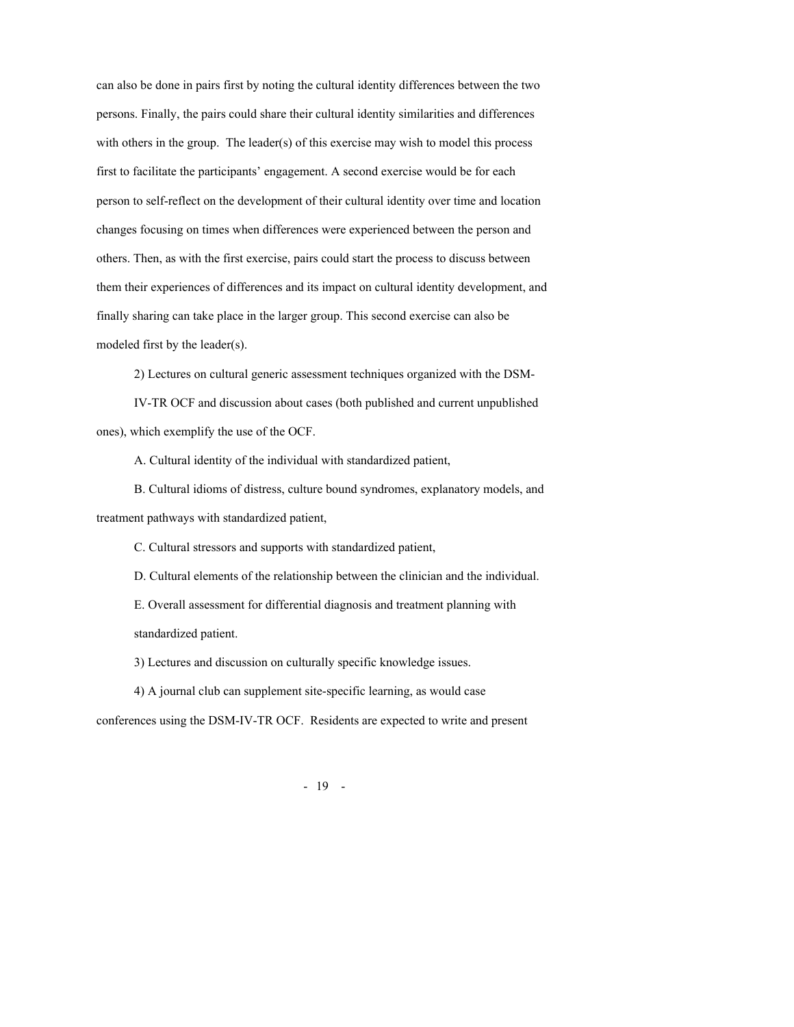can also be done in pairs first by noting the cultural identity differences between the two persons. Finally, the pairs could share their cultural identity similarities and differences with others in the group. The leader(s) of this exercise may wish to model this process first to facilitate the participants' engagement. A second exercise would be for each person to self-reflect on the development of their cultural identity over time and location changes focusing on times when differences were experienced between the person and others. Then, as with the first exercise, pairs could start the process to discuss between them their experiences of differences and its impact on cultural identity development, and finally sharing can take place in the larger group. This second exercise can also be modeled first by the leader(s).

2) Lectures on cultural generic assessment techniques organized with the DSM-

IV-TR OCF and discussion about cases (both published and current unpublished ones), which exemplify the use of the OCF.

A. Cultural identity of the individual with standardized patient,

B. Cultural idioms of distress, culture bound syndromes, explanatory models, and treatment pathways with standardized patient,

C. Cultural stressors and supports with standardized patient,

D. Cultural elements of the relationship between the clinician and the individual.

E. Overall assessment for differential diagnosis and treatment planning with standardized patient.

3) Lectures and discussion on culturally specific knowledge issues.

4) A journal club can supplement site-specific learning, as would case

conferences using the DSM-IV-TR OCF. Residents are expected to write and present

- 19 -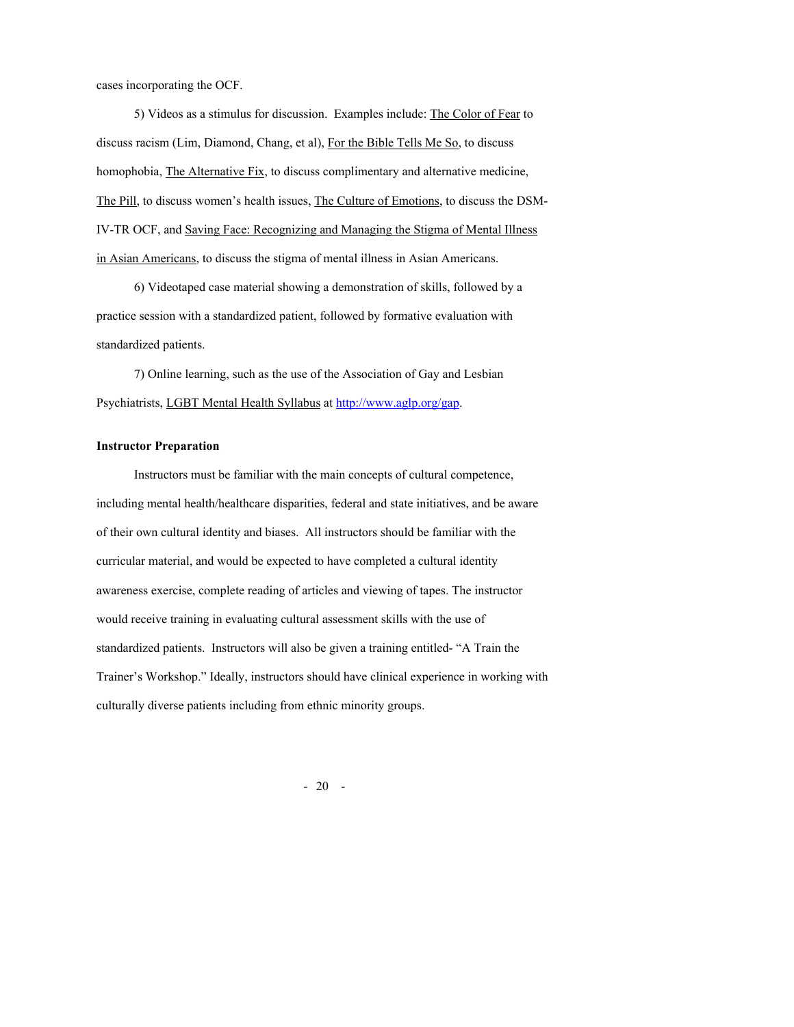cases incorporating the OCF.

5) Videos as a stimulus for discussion. Examples include: The Color of Fear to discuss racism (Lim, Diamond, Chang, et al), For the Bible Tells Me So, to discuss homophobia, The Alternative Fix, to discuss complimentary and alternative medicine, The Pill, to discuss women's health issues, The Culture of Emotions, to discuss the DSM-IV-TR OCF, and Saving Face: Recognizing and Managing the Stigma of Mental Illness in Asian Americans, to discuss the stigma of mental illness in Asian Americans.

6) Videotaped case material showing a demonstration of skills, followed by a practice session with a standardized patient, followed by formative evaluation with standardized patients.

7) Online learning, such as the use of the Association of Gay and Lesbian Psychiatrists, LGBT Mental Health Syllabus at http://www.aglp.org/gap.

### **Instructor Preparation**

Instructors must be familiar with the main concepts of cultural competence, including mental health/healthcare disparities, federal and state initiatives, and be aware of their own cultural identity and biases. All instructors should be familiar with the curricular material, and would be expected to have completed a cultural identity awareness exercise, complete reading of articles and viewing of tapes. The instructor would receive training in evaluating cultural assessment skills with the use of standardized patients. Instructors will also be given a training entitled- "A Train the Trainer's Workshop." Ideally, instructors should have clinical experience in working with culturally diverse patients including from ethnic minority groups.

- 20 -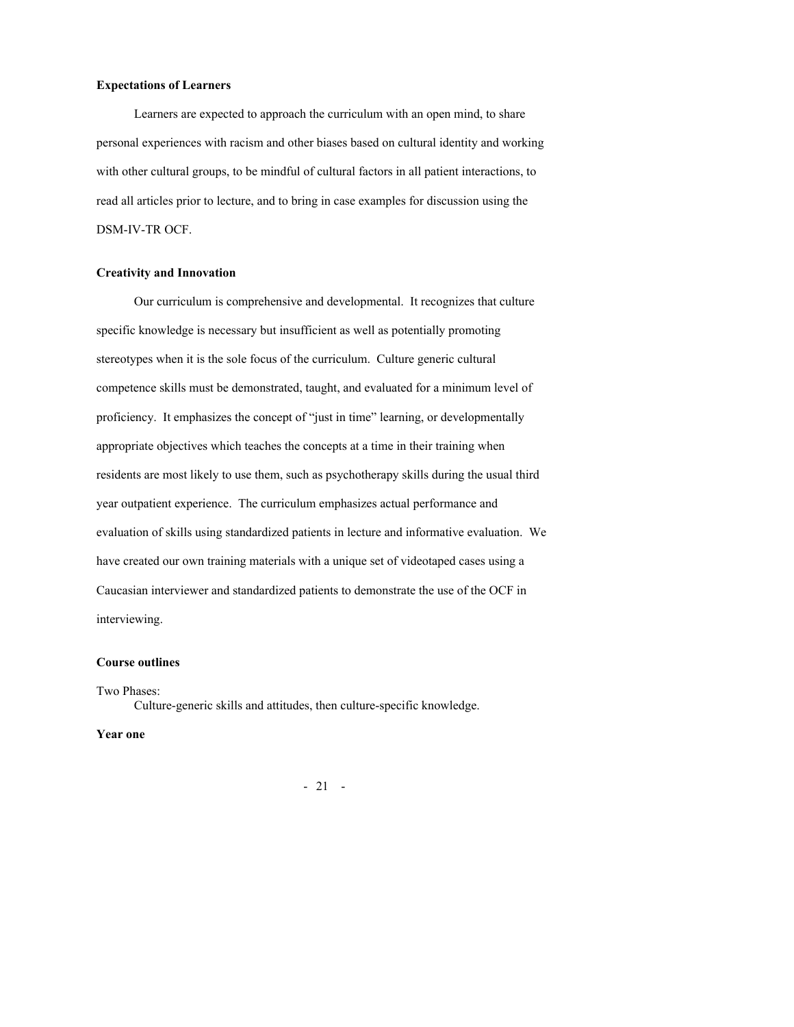## **Expectations of Learners**

Learners are expected to approach the curriculum with an open mind, to share personal experiences with racism and other biases based on cultural identity and working with other cultural groups, to be mindful of cultural factors in all patient interactions, to read all articles prior to lecture, and to bring in case examples for discussion using the DSM-IV-TR OCF.

#### **Creativity and Innovation**

Our curriculum is comprehensive and developmental. It recognizes that culture specific knowledge is necessary but insufficient as well as potentially promoting stereotypes when it is the sole focus of the curriculum. Culture generic cultural competence skills must be demonstrated, taught, and evaluated for a minimum level of proficiency. It emphasizes the concept of "just in time" learning, or developmentally appropriate objectives which teaches the concepts at a time in their training when residents are most likely to use them, such as psychotherapy skills during the usual third year outpatient experience. The curriculum emphasizes actual performance and evaluation of skills using standardized patients in lecture and informative evaluation. We have created our own training materials with a unique set of videotaped cases using a Caucasian interviewer and standardized patients to demonstrate the use of the OCF in interviewing.

# **Course outlines**

Two Phases: Culture-generic skills and attitudes, then culture-specific knowledge.

#### **Year one**

- 21 -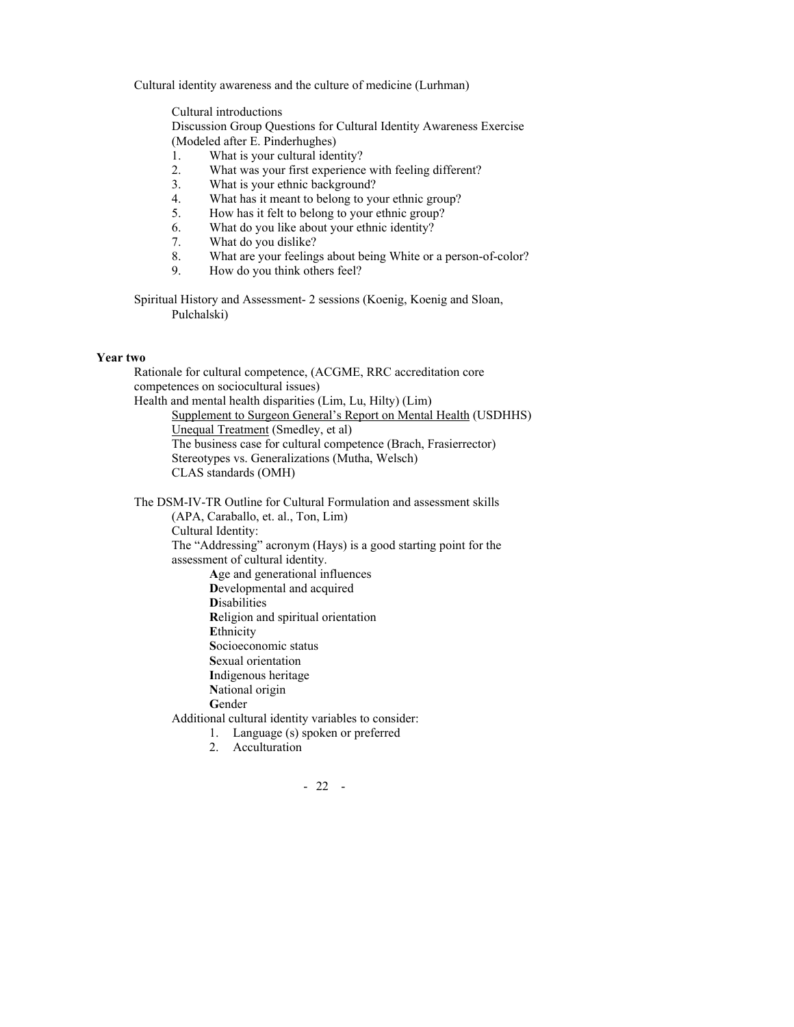Cultural identity awareness and the culture of medicine (Lurhman)

Cultural introductions Discussion Group Questions for Cultural Identity Awareness Exercise (Modeled after E. Pinderhughes)

- 1. What is your cultural identity?
- 2. What was your first experience with feeling different?
- 3. What is your ethnic background?
- 4. What has it meant to belong to your ethnic group?<br>5. How has it felt to belong to your ethnic group?
- 5. How has it felt to belong to your ethnic group?
- 6. What do you like about your ethnic identity?
- 7. What do you dislike?
- 8. What are your feelings about being White or a person-of-color?
- 9. How do you think others feel?

Spiritual History and Assessment- 2 sessions (Koenig, Koenig and Sloan, Pulchalski)

#### **Year two**

Rationale for cultural competence, (ACGME, RRC accreditation core competences on sociocultural issues) Health and mental health disparities (Lim, Lu, Hilty) (Lim) Supplement to Surgeon General's Report on Mental Health (USDHHS) Unequal Treatment (Smedley, et al) The business case for cultural competence (Brach, Frasierrector) Stereotypes vs. Generalizations (Mutha, Welsch) CLAS standards (OMH)

The DSM-IV-TR Outline for Cultural Formulation and assessment skills (APA, Caraballo, et. al., Ton, Lim) Cultural Identity: The "Addressing" acronym (Hays) is a good starting point for the assessment of cultural identity. **A**ge and generational influences **D**evelopmental and acquired **D**isabilities **R**eligion and spiritual orientation **E**thnicity **S**ocioeconomic status **S**exual orientation **I**ndigenous heritage **N**ational origin **G**ender Additional cultural identity variables to consider:

- 1. Language (s) spoken or preferred
- 2. Acculturation
	- 22 -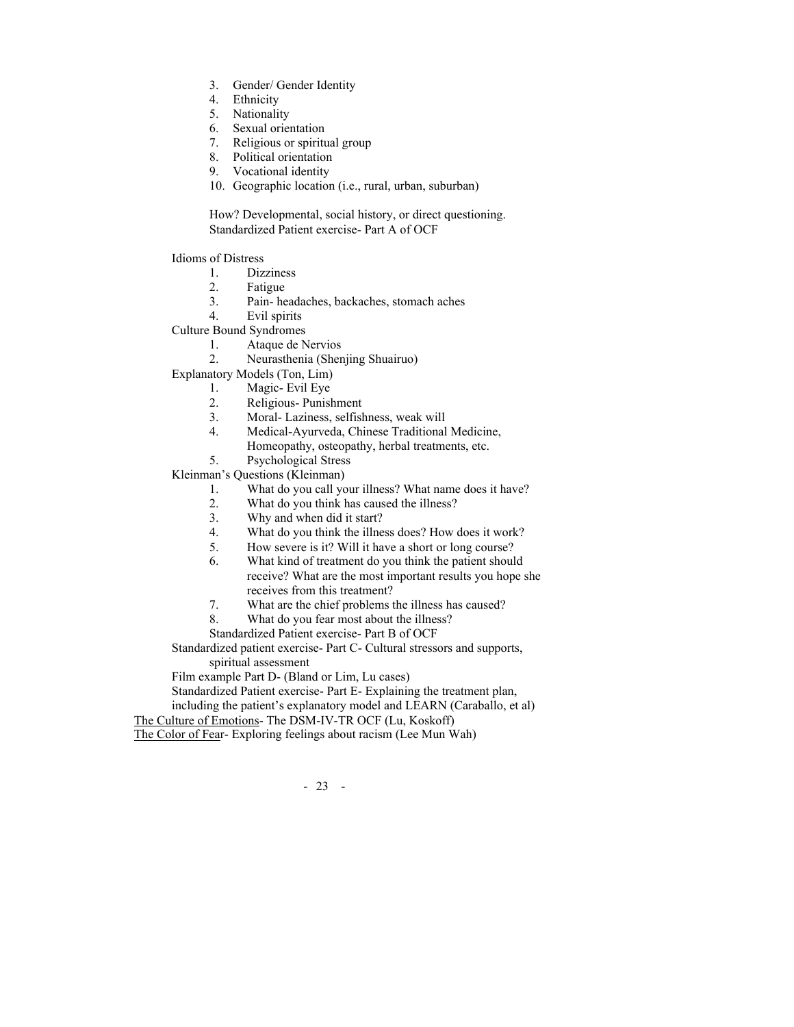- 3. Gender/ Gender Identity
- 4. Ethnicity
- 5. Nationality
- 6. Sexual orientation
- Religious or spiritual group
- 8. Political orientation
- 9. Vocational identity
- 10. Geographic location (i.e., rural, urban, suburban)

How? Developmental, social history, or direct questioning. Standardized Patient exercise- Part A of OCF

Idioms of Distress

- 1. Dizziness
- 2. Fatigue
- 3. Pain- headaches, backaches, stomach aches
- 4. Evil spirits
- Culture Bound Syndromes
	- 1. Ataque de Nervios
	- 2. Neurasthenia (Shenjing Shuairuo)
- Explanatory Models (Ton, Lim)
	- 1. Magic- Evil Eye
	- 2. Religious- Punishment
	- 3. Moral- Laziness, selfishness, weak will
	- 4. Medical-Ayurveda, Chinese Traditional Medicine,
		- Homeopathy, osteopathy, herbal treatments, etc.
	- 5. Psychological Stress

Kleinman's Questions (Kleinman)

- 1. What do you call your illness? What name does it have?
- 2. What do you think has caused the illness?
- 3. Why and when did it start?
- 4. What do you think the illness does? How does it work?
- 5. How severe is it? Will it have a short or long course?
- 6. What kind of treatment do you think the patient should receive? What are the most important results you hope she receives from this treatment?
- 7. What are the chief problems the illness has caused?
- 8. What do you fear most about the illness?
- Standardized Patient exercise- Part B of OCF

Standardized patient exercise- Part C- Cultural stressors and supports, spiritual assessment

Film example Part D- (Bland or Lim, Lu cases)

Standardized Patient exercise- Part E- Explaining the treatment plan,

including the patient's explanatory model and LEARN (Caraballo, et al) The Culture of Emotions- The DSM-IV-TR OCF (Lu, Koskoff)

The Color of Fear- Exploring feelings about racism (Lee Mun Wah)

- 23 -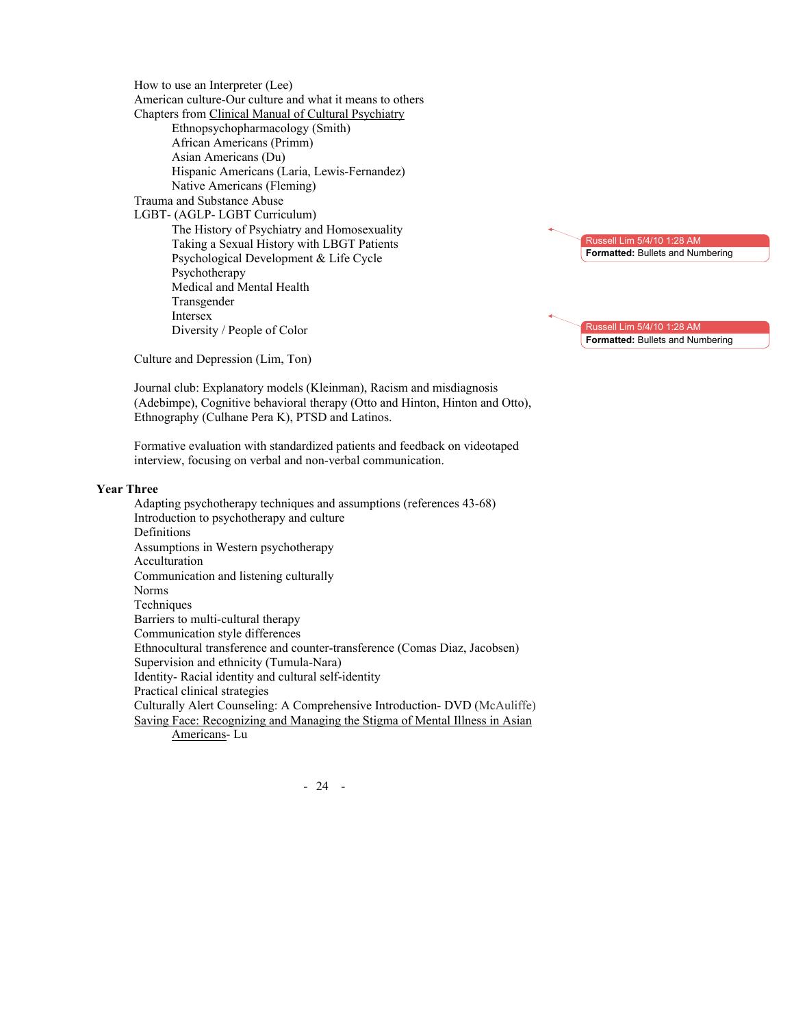How to use an Interpreter (Lee) American culture-Our culture and what it means to others Chapters from Clinical Manual of Cultural Psychiatry Ethnopsychopharmacology (Smith) African Americans (Primm) Asian Americans (Du) Hispanic Americans (Laria, Lewis-Fernandez) Native Americans (Fleming) Trauma and Substance Abuse LGBT- (AGLP- LGBT Curriculum) The History of Psychiatry and Homosexuality Taking a Sexual History with LBGT Patients Psychological Development & Life Cycle Psychotherapy Medical and Mental Health Transgender Intersex Diversity / People of Color



Russell Lim 5/4/10 1:28 AM **Formatted:** Bullets and Numbering

Culture and Depression (Lim, Ton)

Journal club: Explanatory models (Kleinman), Racism and misdiagnosis (Adebimpe), Cognitive behavioral therapy (Otto and Hinton, Hinton and Otto), Ethnography (Culhane Pera K), PTSD and Latinos.

Formative evaluation with standardized patients and feedback on videotaped interview, focusing on verbal and non-verbal communication.

#### **Year Three**

Adapting psychotherapy techniques and assumptions (references 43-68) Introduction to psychotherapy and culture Definitions Assumptions in Western psychotherapy Acculturation Communication and listening culturally Norms Techniques Barriers to multi-cultural therapy Communication style differences Ethnocultural transference and counter-transference (Comas Diaz, Jacobsen) Supervision and ethnicity (Tumula-Nara) Identity- Racial identity and cultural self-identity Practical clinical strategies Culturally Alert Counseling: A Comprehensive Introduction- DVD (McAuliffe) Saving Face: Recognizing and Managing the Stigma of Mental Illness in Asian Americans- Lu

- 24 -